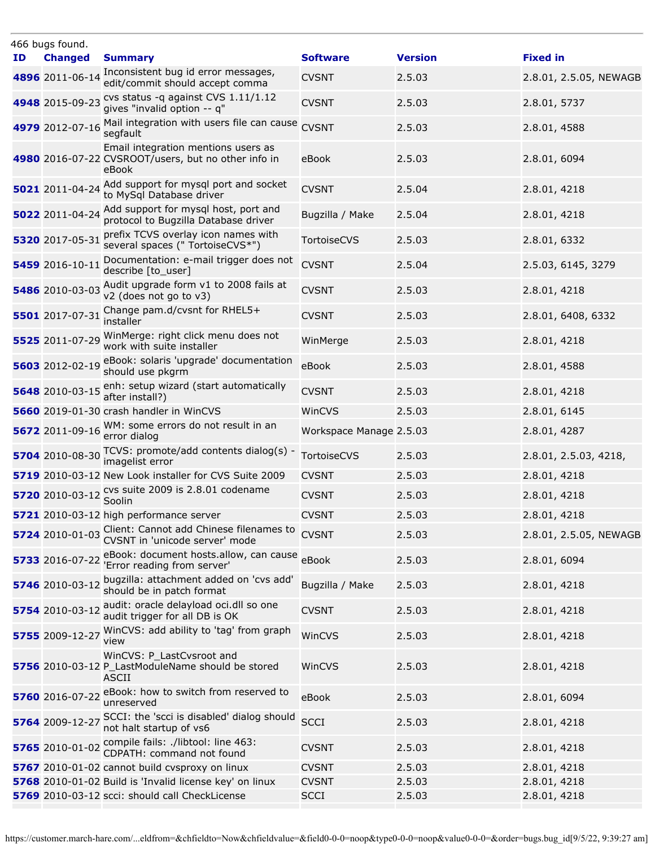|    | 466 bugs found.          |                                                                                                     |                         |                |                        |
|----|--------------------------|-----------------------------------------------------------------------------------------------------|-------------------------|----------------|------------------------|
| ID | <b>Changed</b>           | <b>Summary</b>                                                                                      | <b>Software</b>         | <b>Version</b> | <b>Fixed in</b>        |
|    | 4896 2011-06-14          | Inconsistent bug id error messages,<br>edit/commit should accept comma                              | <b>CVSNT</b>            | 2.5.03         | 2.8.01, 2.5.05, NEWAGB |
|    | 4948 2015-09-23          | cvs status -q against CVS 1.11/1.12<br>gives "invalid option -- q"                                  | <b>CVSNT</b>            | 2.5.03         | 2.8.01, 5737           |
|    | 4979 2012-07-16          | Mail integration with users file can cause<br>segfault                                              | <b>CVSNT</b>            | 2.5.03         | 2.8.01, 4588           |
|    |                          | Email integration mentions users as<br>4980 2016-07-22 CVSROOT/users, but no other info in<br>eBook | eBook                   | 2.5.03         | 2.8.01, 6094           |
|    | 5021 2011-04-24          | Add support for mysql port and socket<br>to MySql Database driver                                   | <b>CVSNT</b>            | 2.5.04         | 2.8.01, 4218           |
|    | 5022 2011-04-24          | Add support for mysql host, port and<br>protocol to Bugzilla Database driver                        | Bugzilla / Make         | 2.5.04         | 2.8.01, 4218           |
|    | 5320 2017-05-31          | prefix TCVS overlay icon names with<br>several spaces (" TortoiseCVS*")                             | TortoiseCVS             | 2.5.03         | 2.8.01, 6332           |
|    | 5459 2016-10-11          | Documentation: e-mail trigger does not<br>describe [to_user]                                        | <b>CVSNT</b>            | 2.5.04         | 2.5.03, 6145, 3279     |
|    | 5486 2010-03-03          | Audit upgrade form v1 to 2008 fails at<br>v2 (does not go to v3)                                    | <b>CVSNT</b>            | 2.5.03         | 2.8.01, 4218           |
|    | 5501 2017-07-31          | Change pam.d/cvsnt for RHEL5+<br>installer                                                          | <b>CVSNT</b>            | 2.5.03         | 2.8.01, 6408, 6332     |
|    | 5525 2011-07-29          | WinMerge: right click menu does not<br>work with suite installer                                    | WinMerge                | 2.5.03         | 2.8.01, 4218           |
|    | 5603 2012-02-19          | eBook: solaris 'upgrade' documentation<br>should use pkgrm                                          | eBook                   | 2.5.03         | 2.8.01, 4588           |
|    |                          | 5648 2010-03-15 enh: setup wizard (start automatically<br>after install?)                           | <b>CVSNT</b>            | 2.5.03         | 2.8.01, 4218           |
|    |                          | <b>5660</b> 2019-01-30 crash handler in WinCVS                                                      | WinCVS                  | 2.5.03         | 2.8.01, 6145           |
|    | 5672 2011-09-16          | WM: some errors do not result in an<br>error dialog                                                 | Workspace Manage 2.5.03 |                | 2.8.01, 4287           |
|    | 5704 2010-08-30          | TCVS: promote/add contents dialog(s) -<br>imagelist error                                           | TortoiseCVS             | 2.5.03         | 2.8.01, 2.5.03, 4218,  |
|    |                          | 5719 2010-03-12 New Look installer for CVS Suite 2009                                               | <b>CVSNT</b>            | 2.5.03         | 2.8.01, 4218           |
|    | 5720 2010-03-12 Cys surf | cvs suite 2009 is 2.8.01 codename                                                                   | <b>CVSNT</b>            | 2.5.03         | 2.8.01, 4218           |
|    |                          | 5721 2010-03-12 high performance server                                                             | <b>CVSNT</b>            | 2.5.03         | 2.8.01, 4218           |
|    | 5724 2010-01-03          | Client: Cannot add Chinese filenames to CVSNT<br>CVSNT in 'unicode server' mode                     |                         | 2.5.03         | 2.8.01, 2.5.05, NEWAGB |
|    | 5733 2016-07-22          | eBook: document hosts.allow, can cause eBook<br>'Error reading from server'                         |                         | 2.5.03         | 2.8.01, 6094           |
|    | 5746 2010-03-12          | bugzilla: attachment added on 'cvs add'<br>should be in patch format                                | Bugzilla / Make         | 2.5.03         | 2.8.01, 4218           |
|    | 5754 2010-03-12          | audit: oracle delayload oci.dll so one<br>audit trigger for all DB is OK                            | <b>CVSNT</b>            | 2.5.03         | 2.8.01, 4218           |
|    | 5755 2009-12-27          | WinCVS: add ability to 'tag' from graph<br>view                                                     | WinCVS                  | 2.5.03         | 2.8.01, 4218           |
|    |                          | WinCVS: P_LastCvsroot and<br>5756 2010-03-12 P_LastModuleName should be stored<br><b>ASCII</b>      | WinCVS                  | 2.5.03         | 2.8.01, 4218           |
|    | 5760 2016-07-22          | eBook: how to switch from reserved to<br>unreserved                                                 | eBook                   | 2.5.03         | 2.8.01, 6094           |
|    | 5764 2009-12-27          | SCCI: the 'scci is disabled' dialog should<br>not halt startup of vs6                               | <b>SCCI</b>             | 2.5.03         | 2.8.01, 4218           |
|    |                          | <b>5765</b> 2010-01-02 Compile fails: ./libtool: line 463:<br>CDPATH: command not found             | <b>CVSNT</b>            | 2.5.03         | 2.8.01, 4218           |
|    |                          | 5767 2010-01-02 cannot build cvsproxy on linux                                                      | <b>CVSNT</b>            | 2.5.03         | 2.8.01, 4218           |
|    |                          | 5768 2010-01-02 Build is 'Invalid license key' on linux                                             | <b>CVSNT</b>            | 2.5.03         | 2.8.01, 4218           |
|    |                          | 5769 2010-03-12 scci: should call CheckLicense                                                      | <b>SCCI</b>             | 2.5.03         | 2.8.01, 4218           |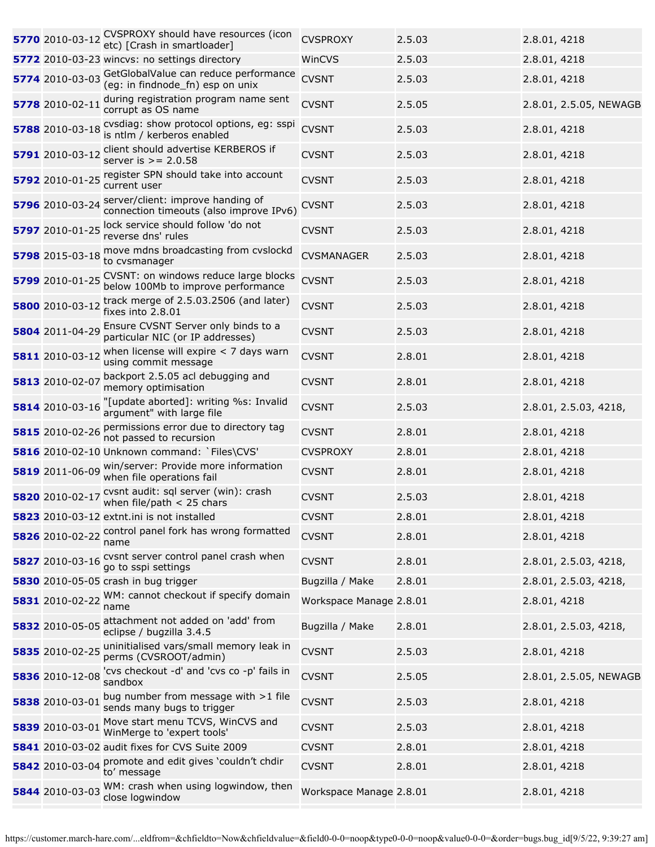| 5770 2010-03-12 | CVSPROXY should have resources (icon<br>etc) [Crash in smartloader]          | <b>CVSPROXY</b>         | 2.5.03 | 2.8.01, 4218           |
|-----------------|------------------------------------------------------------------------------|-------------------------|--------|------------------------|
|                 | 5772 2010-03-23 wincvs: no settings directory                                | WinCVS                  | 2.5.03 | 2.8.01, 4218           |
| 5774 2010-03-03 | GetGlobalValue can reduce performance<br>(eg: in findnode_fn) esp on unix    | <b>CVSNT</b>            | 2.5.03 | 2.8.01, 4218           |
| 5778 2010-02-11 | during registration program name sent<br>corrupt as OS name                  | <b>CVSNT</b>            | 2.5.05 | 2.8.01, 2.5.05, NEWAGB |
| 5788 2010-03-18 | cvsdiag: show protocol options, eg: sspi<br>is ntlm / kerberos enabled       | <b>CVSNT</b>            | 2.5.03 | 2.8.01, 4218           |
| 5791 2010-03-12 | client should advertise KERBEROS if<br>server is $> = 2.0.58$                | <b>CVSNT</b>            | 2.5.03 | 2.8.01, 4218           |
| 5792 2010-01-25 | register SPN should take into account<br>current user                        | <b>CVSNT</b>            | 2.5.03 | 2.8.01, 4218           |
| 5796 2010-03-24 | server/client: improve handing of<br>connection timeouts (also improve IPv6) | <b>CVSNT</b>            | 2.5.03 | 2.8.01, 4218           |
| 5797 2010-01-25 | lock service should follow 'do not<br>reverse dns' rules                     | <b>CVSNT</b>            | 2.5.03 | 2.8.01, 4218           |
| 5798 2015-03-18 | move mdns broadcasting from cvslockd<br>to cvsmanager                        | <b>CVSMANAGER</b>       | 2.5.03 | 2.8.01, 4218           |
| 5799 2010-01-25 | CVSNT: on windows reduce large blocks<br>below 100Mb to improve performance  | <b>CVSNT</b>            | 2.5.03 | 2.8.01, 4218           |
| 5800 2010-03-12 | track merge of 2.5.03.2506 (and later)<br>fixes into 2.8.01                  | <b>CVSNT</b>            | 2.5.03 | 2.8.01, 4218           |
| 5804 2011-04-29 | Ensure CVSNT Server only binds to a<br>particular NIC (or IP addresses)      | <b>CVSNT</b>            | 2.5.03 | 2.8.01, 4218           |
| 5811 2010-03-12 | when license will expire $<$ 7 days warn<br>using commit message             | <b>CVSNT</b>            | 2.8.01 | 2.8.01, 4218           |
| 5813 2010-02-07 | backport 2.5.05 acl debugging and<br>memory optimisation                     | <b>CVSNT</b>            | 2.8.01 | 2.8.01, 4218           |
| 5814 2010-03-16 | "[update aborted]: writing %s: Invalid<br>argument" with large file          | <b>CVSNT</b>            | 2.5.03 | 2.8.01, 2.5.03, 4218,  |
| 5815 2010-02-26 | permissions error due to directory tag<br>not passed to recursion            | <b>CVSNT</b>            | 2.8.01 | 2.8.01, 4218           |
|                 | 5816 2010-02-10 Unknown command: `Files\CVS'                                 | <b>CVSPROXY</b>         | 2.8.01 | 2.8.01, 4218           |
| 5819 2011-06-09 | win/server: Provide more information<br>when file operations fail            | <b>CVSNT</b>            | 2.8.01 | 2.8.01, 4218           |
| 5820 2010-02-17 | cvsnt audit: sql server (win): crash<br>when file/path $<$ 25 chars          | <b>CVSNT</b>            | 2.5.03 | 2.8.01, 4218           |
|                 | 5823 2010-03-12 extnt.ini is not installed                                   | <b>CVSNT</b>            | 2.8.01 | 2.8.01, 4218           |
| 5826 2010-02-22 | control panel fork has wrong formatted<br>name                               | <b>CVSNT</b>            | 2.8.01 | 2.8.01, 4218           |
| 5827 2010-03-16 | cvsnt server control panel crash when<br>go to sspi settings                 | <b>CVSNT</b>            | 2.8.01 | 2.8.01, 2.5.03, 4218,  |
|                 | 5830 2010-05-05 crash in bug trigger                                         | Bugzilla / Make         | 2.8.01 | 2.8.01, 2.5.03, 4218,  |
| 5831 2010-02-22 | WM: cannot checkout if specify domain<br>name                                | Workspace Manage 2.8.01 |        | 2.8.01, 4218           |
| 5832 2010-05-05 | attachment not added on 'add' from<br>eclipse / bugzilla 3.4.5               | Bugzilla / Make         | 2.8.01 | 2.8.01, 2.5.03, 4218,  |
| 5835 2010-02-25 | uninitialised vars/small memory leak in<br>perms (CVSROOT/admin)             | <b>CVSNT</b>            | 2.5.03 | 2.8.01, 4218           |
| 5836 2010-12-08 | 'cvs checkout -d' and 'cvs co -p' fails in<br>sandbox                        | <b>CVSNT</b>            | 2.5.05 | 2.8.01, 2.5.05, NEWAGB |
| 5838 2010-03-01 | bug number from message with >1 file<br>sends many bugs to trigger           | <b>CVSNT</b>            | 2.5.03 | 2.8.01, 4218           |
| 5839 2010-03-01 | Move start menu TCVS, WinCVS and<br>WinMerge to 'expert tools'               | <b>CVSNT</b>            | 2.5.03 | 2.8.01, 4218           |
|                 | 5841 2010-03-02 audit fixes for CVS Suite 2009                               | <b>CVSNT</b>            | 2.8.01 | 2.8.01, 4218           |
| 5842 2010-03-04 | promote and edit gives 'couldn't chdir<br>to' message                        | <b>CVSNT</b>            | 2.8.01 | 2.8.01, 4218           |
| 5844 2010-03-03 | WM: crash when using logwindow, then<br>close logwindow                      | Workspace Manage 2.8.01 |        | 2.8.01, 4218           |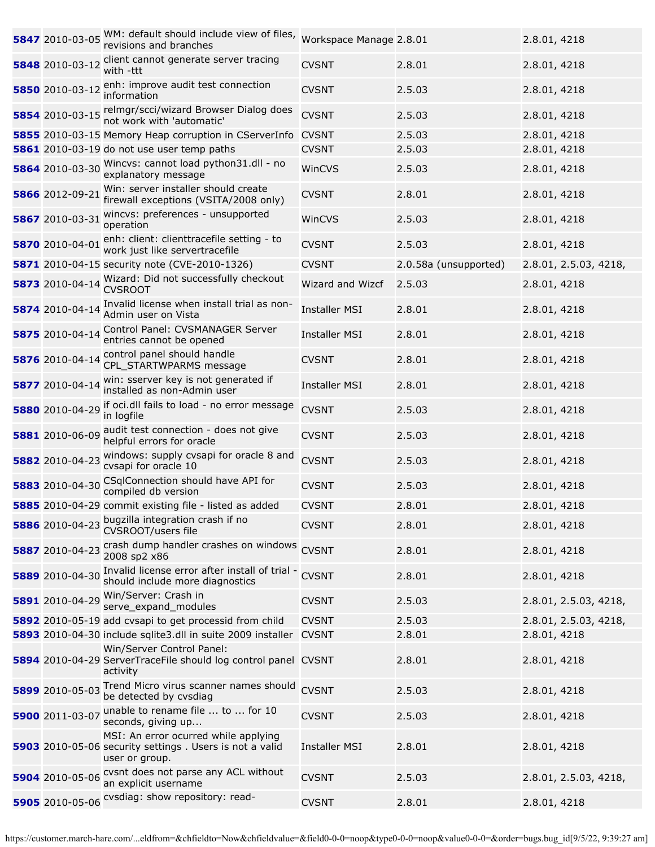|                 | 5847 2010-03-05 WM: default should include view of files,<br>revisions and branches                                | Workspace Manage 2.8.01 |                       | 2.8.01, 4218          |
|-----------------|--------------------------------------------------------------------------------------------------------------------|-------------------------|-----------------------|-----------------------|
| 5848 2010-03-12 | client cannot generate server tracing<br>with -ttt                                                                 | <b>CVSNT</b>            | 2.8.01                | 2.8.01, 4218          |
| 5850 2010-03-12 | enh: improve audit test connection<br>information                                                                  | <b>CVSNT</b>            | 2.5.03                | 2.8.01, 4218          |
|                 | 5854 2010-03-15 relmgr/scci/wizard Browser Dialog does<br>not work with 'automatic'                                | <b>CVSNT</b>            | 2.5.03                | 2.8.01, 4218          |
|                 | 5855 2010-03-15 Memory Heap corruption in CServerInfo                                                              | <b>CVSNT</b>            | 2.5.03                | 2.8.01, 4218          |
|                 | 5861 2010-03-19 do not use user temp paths                                                                         | <b>CVSNT</b>            | 2.5.03                | 2.8.01, 4218          |
| 5864 2010-03-30 | Wincvs: cannot load python31.dll - no<br>explanatory message                                                       | WinCVS                  | 2.5.03                | 2.8.01, 4218          |
| 5866 2012-09-21 | Win: server installer should create<br>firewall exceptions (VSITA/2008 only)                                       | <b>CVSNT</b>            | 2.8.01                | 2.8.01, 4218          |
| 5867 2010-03-31 | wincvs: preferences - unsupported<br>operation                                                                     | WinCVS                  | 2.5.03                | 2.8.01, 4218          |
| 5870 2010-04-01 | enh: client: clienttracefile setting - to<br>work just like servertracefile                                        | <b>CVSNT</b>            | 2.5.03                | 2.8.01, 4218          |
|                 | 5871 2010-04-15 security note (CVE-2010-1326)                                                                      | <b>CVSNT</b>            | 2.0.58a (unsupported) | 2.8.01, 2.5.03, 4218, |
| 5873 2010-04-14 | Wizard: Did not successfully checkout<br><b>CVSROOT</b>                                                            | Wizard and Wizcf        | 2.5.03                | 2.8.01, 4218          |
| 5874 2010-04-14 | Invalid license when install trial as non-<br>Admin user on Vista                                                  | <b>Installer MSI</b>    | 2.8.01                | 2.8.01, 4218          |
| 5875 2010-04-14 | Control Panel: CVSMANAGER Server<br>entries cannot be opened                                                       | <b>Installer MSI</b>    | 2.8.01                | 2.8.01, 4218          |
| 5876 2010-04-14 | control panel should handle<br>CPL_STARTWPARMS message                                                             | <b>CVSNT</b>            | 2.8.01                | 2.8.01, 4218          |
| 5877 2010-04-14 | win: sserver key is not generated if<br>installed as non-Admin user                                                | <b>Installer MSI</b>    | 2.8.01                | 2.8.01, 4218          |
| 5880 2010-04-29 | if oci.dll fails to load - no error message<br>in logfile                                                          | <b>CVSNT</b>            | 2.5.03                | 2.8.01, 4218          |
| 5881 2010-06-09 | audit test connection - does not give<br>helpful errors for oracle                                                 | <b>CVSNT</b>            | 2.5.03                | 2.8.01, 4218          |
| 5882 2010-04-23 | windows: supply cvsapi for oracle 8 and<br>cvsapi for oracle 10                                                    | <b>CVSNT</b>            | 2.5.03                | 2.8.01, 4218          |
| 5883 2010-04-30 | CSqlConnection should have API for<br>compiled db version                                                          | <b>CVSNT</b>            | 2.5.03                | 2.8.01, 4218          |
|                 | 5885 2010-04-29 commit existing file - listed as added                                                             | <b>CVSNT</b>            | 2.8.01                | 2.8.01, 4218          |
|                 | 5886 2010-04-23 bugzilla integration crash if no<br>CVSROOT/users file                                             | <b>CVSNT</b>            | 2.8.01                | 2.8.01, 4218          |
| 5887 2010-04-23 | crash dump handler crashes on windows<br>2008 sp2 x86                                                              | <b>CVSNT</b>            | 2.8.01                | 2.8.01, 4218          |
| 5889 2010-04-30 | Invalid license error after install of trial -<br>should include more diagnostics                                  | <b>CVSNT</b>            | 2.8.01                | 2.8.01, 4218          |
| 5891 2010-04-29 | Win/Server: Crash in<br>serve expand modules                                                                       | <b>CVSNT</b>            | 2.5.03                | 2.8.01, 2.5.03, 4218, |
|                 | 5892 2010-05-19 add cvsapi to get processid from child                                                             | <b>CVSNT</b>            | 2.5.03                | 2.8.01, 2.5.03, 4218, |
|                 | 5893 2010-04-30 include sqlite3.dll in suite 2009 installer                                                        | <b>CVSNT</b>            | 2.8.01                | 2.8.01, 4218          |
|                 | Win/Server Control Panel:<br>5894 2010-04-29 ServerTraceFile should log control panel CVSNT<br>activity            |                         | 2.8.01                | 2.8.01, 4218          |
| 5899 2010-05-03 | Trend Micro virus scanner names should<br>be detected by cvsdiag                                                   | <b>CVSNT</b>            | 2.5.03                | 2.8.01, 4218          |
| 5900 2011-03-07 | unable to rename file  to  for 10<br>seconds, giving up                                                            | <b>CVSNT</b>            | 2.5.03                | 2.8.01, 4218          |
|                 | MSI: An error ocurred while applying<br>5903 2010-05-06 security settings . Users is not a valid<br>user or group. | <b>Installer MSI</b>    | 2.8.01                | 2.8.01, 4218          |
| 5904 2010-05-06 | cvsnt does not parse any ACL without<br>an explicit username                                                       | <b>CVSNT</b>            | 2.5.03                | 2.8.01, 2.5.03, 4218, |
|                 | 5905 2010-05-06 Cvsdiag: show repository: read-                                                                    | <b>CVSNT</b>            | 2.8.01                | 2.8.01, 4218          |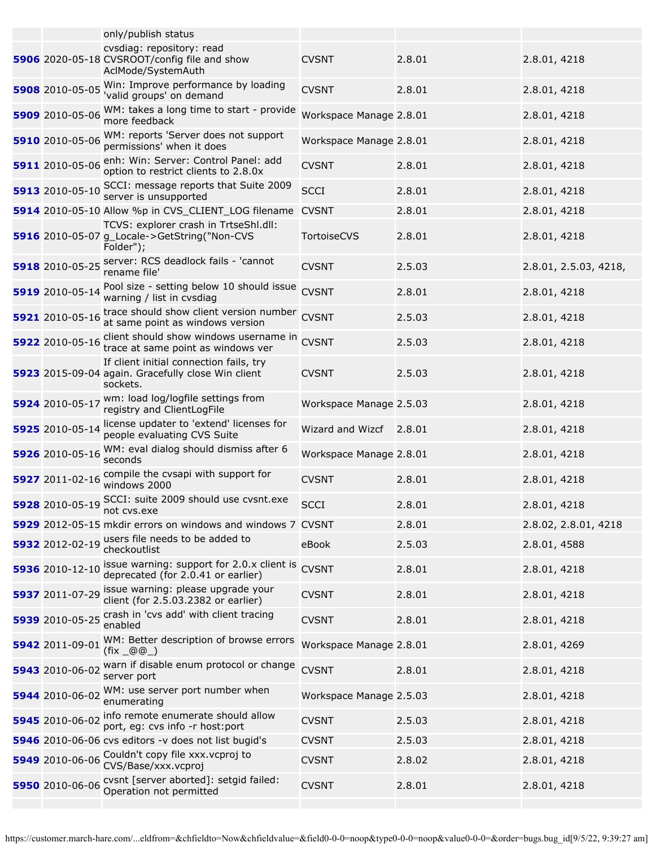|                 | only/publish status                                                                                       |                         |        |                       |
|-----------------|-----------------------------------------------------------------------------------------------------------|-------------------------|--------|-----------------------|
|                 | cvsdiag: repository: read<br>5906 2020-05-18 CVSROOT/config file and show<br>AclMode/SystemAuth           | <b>CVSNT</b>            | 2.8.01 | 2.8.01, 4218          |
| 5908 2010-05-05 | Win: Improve performance by loading<br>'valid groups' on demand                                           | <b>CVSNT</b>            | 2.8.01 | 2.8.01, 4218          |
| 5909 2010-05-06 | WM: takes a long time to start - provide<br>more feedback                                                 | Workspace Manage 2.8.01 |        | 2.8.01, 4218          |
| 5910 2010-05-06 | WM: reports 'Server does not support<br>permissions' when it does                                         | Workspace Manage 2.8.01 |        | 2.8.01, 4218          |
| 5911 2010-05-06 | enh: Win: Server: Control Panel: add<br>option to restrict clients to 2.8.0x                              | <b>CVSNT</b>            | 2.8.01 | 2.8.01, 4218          |
| 5913 2010-05-10 | SCCI: message reports that Suite 2009<br>server is unsupported                                            | <b>SCCI</b>             | 2.8.01 | 2.8.01, 4218          |
|                 | 5914 2010-05-10 Allow %p in CVS_CLIENT_LOG filename                                                       | <b>CVSNT</b>            | 2.8.01 | 2.8.01, 4218          |
|                 | TCVS: explorer crash in TrtseShl.dll:<br>5916 2010-05-07 g_Locale->GetString("Non-CVS<br>Folder");        | TortoiseCVS             | 2.8.01 | 2.8.01, 4218          |
|                 | 5918 2010-05-25 server: RCS deadlock fails - 'cannot<br>rename file'                                      | <b>CVSNT</b>            | 2.5.03 | 2.8.01, 2.5.03, 4218, |
| 5919 2010-05-14 | Pool size - setting below 10 should issue<br>warning / list in cvsdiag                                    | <b>CVSNT</b>            | 2.8.01 | 2.8.01, 4218          |
| 5921 2010-05-16 | trace should show client version number<br>at same point as windows version                               | <b>CVSNT</b>            | 2.5.03 | 2.8.01, 4218          |
| 5922 2010-05-16 | client should show windows username in CVSNT<br>trace at same point as windows ver                        |                         | 2.5.03 | 2.8.01, 4218          |
|                 | If client initial connection fails, try<br>5923 2015-09-04 again. Gracefully close Win client<br>sockets. | <b>CVSNT</b>            | 2.5.03 | 2.8.01, 4218          |
|                 | 5924 2010-05-17 wm: load log/logfile settings from<br>registry and ClientLogFile                          | Workspace Manage 2.5.03 |        | 2.8.01, 4218          |
| 5925 2010-05-14 | license updater to 'extend' licenses for<br>people evaluating CVS Suite                                   | Wizard and Wizcf 2.8.01 |        | 2.8.01, 4218          |
| 5926 2010-05-16 | WM: eval dialog should dismiss after 6<br>seconds                                                         | Workspace Manage 2.8.01 |        | 2.8.01, 4218          |
| 5927 2011-02-16 | compile the cvsapi with support for<br>windows 2000                                                       | <b>CVSNT</b>            | 2.8.01 | 2.8.01, 4218          |
| 5928 2010-05-19 | SCCI: suite 2009 should use cvsnt.exe<br>not cvs.exe                                                      | <b>SCCI</b>             | 2.8.01 | 2.8.01, 4218          |
|                 | 5929 2012-05-15 mkdir errors on windows and windows 7 CVSNT                                               |                         | 2.8.01 | 2.8.02, 2.8.01, 4218  |
| 5932 2012-02-19 | users file needs to be added to<br>checkoutlist                                                           | eBook                   | 2.5.03 | 2.8.01, 4588          |
| 5936 2010-12-10 | issue warning: support for 2.0.x client is<br>deprecated (for 2.0.41 or earlier)                          | <b>CVSNT</b>            | 2.8.01 | 2.8.01, 4218          |
| 5937 2011-07-29 | issue warning: please upgrade your<br>client (for 2.5.03.2382 or earlier)                                 | <b>CVSNT</b>            | 2.8.01 | 2.8.01, 4218          |
| 5939 2010-05-25 | crash in 'cvs add' with client tracing<br>enabled                                                         | <b>CVSNT</b>            | 2.8.01 | 2.8.01, 4218          |
| 5942 2011-09-01 | WM: Better description of browse errors<br>$(fix \_@@_)$                                                  | Workspace Manage 2.8.01 |        | 2.8.01, 4269          |
| 5943 2010-06-02 | warn if disable enum protocol or change<br>server port                                                    | <b>CVSNT</b>            | 2.8.01 | 2.8.01, 4218          |
| 5944 2010-06-02 | WM: use server port number when<br>enumerating                                                            | Workspace Manage 2.5.03 |        | 2.8.01, 4218          |
| 5945 2010-06-02 | info remote enumerate should allow<br>port, eg: cvs info -r host:port                                     | <b>CVSNT</b>            | 2.5.03 | 2.8.01, 4218          |
|                 | 5946 2010-06-06 cvs editors -v does not list bugid's                                                      | <b>CVSNT</b>            | 2.5.03 | 2.8.01, 4218          |
| 5949 2010-06-06 | Couldn't copy file xxx. vcproj to<br>CVS/Base/xxx.vcproj                                                  | <b>CVSNT</b>            | 2.8.02 | 2.8.01, 4218          |
| 5950 2010-06-06 | cvsnt [server aborted]: setgid failed:<br>Operation not permitted                                         | <b>CVSNT</b>            | 2.8.01 | 2.8.01, 4218          |
|                 |                                                                                                           |                         |        |                       |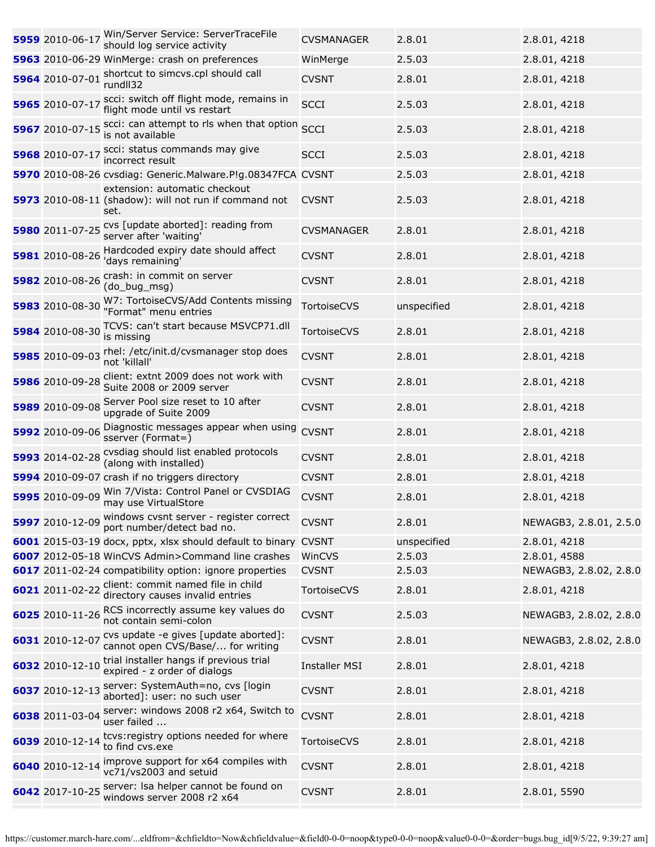| 5959 2010-06-17 | Win/Server Service: ServerTraceFile<br>should log service activity                                                   | <b>CVSMANAGER</b>      | 2.8.01           | 2.8.01, 4218                           |
|-----------------|----------------------------------------------------------------------------------------------------------------------|------------------------|------------------|----------------------------------------|
|                 | 5963 2010-06-29 WinMerge: crash on preferences                                                                       | WinMerge               | 2.5.03           | 2.8.01, 4218                           |
| 5964 2010-07-01 | shortcut to simcvs.cpl should call<br>rundll32                                                                       | <b>CVSNT</b>           | 2.8.01           | 2.8.01, 4218                           |
| 5965 2010-07-17 | scci: switch off flight mode, remains in<br>flight mode until vs restart                                             | <b>SCCI</b>            | 2.5.03           | 2.8.01, 4218                           |
|                 | 5967 2010-07-15 scci: can attempt to rls when that option<br>is not available                                        | <b>SCCI</b>            | 2.5.03           | 2.8.01, 4218                           |
| 5968 2010-07-17 | scci: status commands may give<br>incorrect result                                                                   | <b>SCCI</b>            | 2.5.03           | 2.8.01, 4218                           |
|                 | 5970 2010-08-26 cvsdiag: Generic.Malware.P!g.08347FCA CVSNT                                                          |                        | 2.5.03           | 2.8.01, 4218                           |
|                 | extension: automatic checkout<br>5973 2010-08-11 (shadow): will not run if command not CVSNT<br>set.                 |                        | 2.5.03           | 2.8.01, 4218                           |
|                 | 5980 2011-07-25 CVS [update aborted]: reading from<br>server after 'waiting'                                         | <b>CVSMANAGER</b>      | 2.8.01           | 2.8.01, 4218                           |
| 5981 2010-08-26 | Hardcoded expiry date should affect<br>'days remaining'                                                              | <b>CVSNT</b>           | 2.8.01           | 2.8.01, 4218                           |
| 5982 2010-08-26 | crash: in commit on server<br>(do_bug_msg)                                                                           | <b>CVSNT</b>           | 2.8.01           | 2.8.01, 4218                           |
| 5983 2010-08-30 | W7: TortoiseCVS/Add Contents missing<br>"Format" menu entries                                                        | TortoiseCVS            | unspecified      | 2.8.01, 4218                           |
| 5984 2010-08-30 | TCVS: can't start because MSVCP71.dll<br>is missing                                                                  | TortoiseCVS            | 2.8.01           | 2.8.01, 4218                           |
| 5985 2010-09-03 | rhel: /etc/init.d/cvsmanager stop does<br>not 'killall'                                                              | <b>CVSNT</b>           | 2.8.01           | 2.8.01, 4218                           |
| 5986 2010-09-28 | client: extnt 2009 does not work with<br>Suite 2008 or 2009 server                                                   | <b>CVSNT</b>           | 2.8.01           | 2.8.01, 4218                           |
| 5989 2010-09-08 | Server Pool size reset to 10 after<br>upgrade of Suite 2009                                                          | <b>CVSNT</b>           | 2.8.01           | 2.8.01, 4218                           |
| 5992 2010-09-06 | Diagnostic messages appear when using<br>sserver (Format=)                                                           | <b>CVSNT</b>           | 2.8.01           | 2.8.01, 4218                           |
|                 | 5993 2014-02-28 Cysdiag should list enabled protocols<br>(along with installed)                                      | <b>CVSNT</b>           | 2.8.01           | 2.8.01, 4218                           |
|                 | 5994 2010-09-07 crash if no triggers directory                                                                       | <b>CVSNT</b>           | 2.8.01           | 2.8.01, 4218                           |
|                 | 5995 2010-09-09 Win 7/Vista: Control Panel or CVSDIAG<br>may use VirtualStore                                        | <b>CVSNT</b>           | 2.8.01           | 2.8.01, 4218                           |
|                 | 5997 2010-12-09 windows cvsnt server - register correct<br>port number/detect bad no.                                | <b>CVSNT</b>           | 2.8.01           | NEWAGB3, 2.8.01, 2.5.0                 |
|                 | 6001 2015-03-19 docx, pptx, xlsx should default to binary CVSNT<br>6007 2012-05-18 WinCVS Admin>Command line crashes |                        | unspecified      | 2.8.01, 4218                           |
|                 |                                                                                                                      | WinCVS<br><b>CVSNT</b> | 2.5.03<br>2.5.03 | 2.8.01, 4588<br>NEWAGB3, 2.8.02, 2.8.0 |
|                 | 6017 2011-02-24 compatibility option: ignore properties<br>6021 2011-02-22 client: commit named file in child        |                        |                  |                                        |
|                 | directory causes invalid entries<br>6025 2010-11-26 RCS incorrectly assume key values do                             | TortoiseCVS            | 2.8.01           | 2.8.01, 4218                           |
|                 | not contain semi-colon<br>cvs update -e gives [update aborted]:                                                      | <b>CVSNT</b>           | 2.5.03           | NEWAGB3, 2.8.02, 2.8.0                 |
| 6031 2010-12-07 | cannot open CVS/Base/ for writing<br>trial installer hangs if previous trial                                         | <b>CVSNT</b>           | 2.8.01           | NEWAGB3, 2.8.02, 2.8.0                 |
| 6032 2010-12-10 | expired - z order of dialogs<br>server: SystemAuth=no, cvs [login                                                    | <b>Installer MSI</b>   | 2.8.01           | 2.8.01, 4218                           |
| 6037 2010-12-13 | aborted]: user: no such user                                                                                         | <b>CVSNT</b>           | 2.8.01           | 2.8.01, 4218                           |
| 6038 2011-03-04 | server: windows 2008 r2 x64, Switch to<br>user failed                                                                | <b>CVSNT</b>           | 2.8.01           | 2.8.01, 4218                           |
| 6039 2010-12-14 | tcvs: registry options needed for where<br>to find cvs.exe                                                           | TortoiseCVS            | 2.8.01           | 2.8.01, 4218                           |
| 6040 2010-12-14 | improve support for x64 compiles with<br>vc71/vs2003 and setuid                                                      | <b>CVSNT</b>           | 2.8.01           | 2.8.01, 4218                           |
| 6042 2017-10-25 | server: Isa helper cannot be found on<br>windows server 2008 r2 x64                                                  | <b>CVSNT</b>           | 2.8.01           | 2.8.01, 5590                           |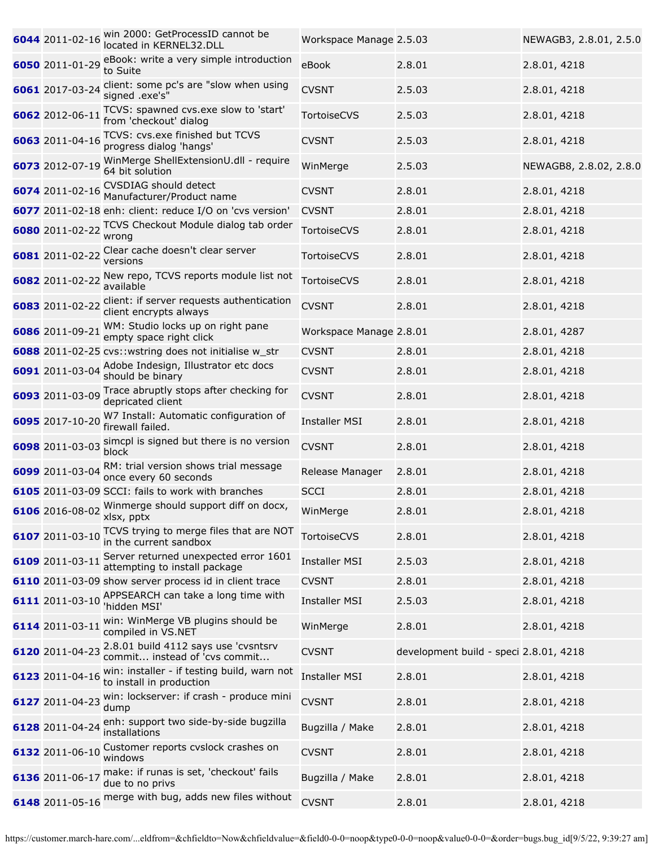| 6044 2011-02-16 | win 2000: GetProcessID cannot be<br>located in KERNEL32.DLL             | Workspace Manage 2.5.03 |                                        | NEWAGB3, 2.8.01, 2.5.0 |
|-----------------|-------------------------------------------------------------------------|-------------------------|----------------------------------------|------------------------|
| 6050 2011-01-29 | eBook: write a very simple introduction<br>to Suite                     | eBook                   | 2.8.01                                 | 2.8.01, 4218           |
| 6061 2017-03-24 | client: some pc's are "slow when using<br>signed .exe's"                | <b>CVSNT</b>            | 2.5.03                                 | 2.8.01, 4218           |
| 6062 2012-06-11 | TCVS: spawned cvs.exe slow to 'start'<br>from 'checkout' dialog         | TortoiseCVS             | 2.5.03                                 | 2.8.01, 4218           |
| 6063 2011-04-16 | TCVS: cvs.exe finished but TCVS<br>progress dialog 'hangs'              | <b>CVSNT</b>            | 2.5.03                                 | 2.8.01, 4218           |
| 6073 2012-07-19 | WinMerge ShellExtensionU.dll - require<br>64 bit solution               | WinMerge                | 2.5.03                                 | NEWAGB8, 2.8.02, 2.8.0 |
| 6074 2011-02-16 | <b>CVSDIAG</b> should detect<br>Manufacturer/Product name               | <b>CVSNT</b>            | 2.8.01                                 | 2.8.01, 4218           |
|                 | 6077 2011-02-18 enh: client: reduce I/O on 'cvs version'                | <b>CVSNT</b>            | 2.8.01                                 | 2.8.01, 4218           |
| 6080 2011-02-22 | TCVS Checkout Module dialog tab order<br>wrong                          | TortoiseCVS             | 2.8.01                                 | 2.8.01, 4218           |
| 6081 2011-02-22 | Clear cache doesn't clear server<br>versions                            | TortoiseCVS             | 2.8.01                                 | 2.8.01, 4218           |
| 6082 2011-02-22 | New repo, TCVS reports module list not<br>available                     | TortoiseCVS             | 2.8.01                                 | 2.8.01, 4218           |
| 6083 2011-02-22 | client: if server requests authentication<br>client encrypts always     | <b>CVSNT</b>            | 2.8.01                                 | 2.8.01, 4218           |
| 6086 2011-09-21 | WM: Studio locks up on right pane<br>empty space right click            | Workspace Manage 2.8.01 |                                        | 2.8.01, 4287           |
|                 | <b>6088</b> 2011-02-25 cvs:: wstring does not initialise w_str          | <b>CVSNT</b>            | 2.8.01                                 | 2.8.01, 4218           |
| 6091 2011-03-04 | Adobe Indesign, Illustrator etc docs<br>should be binary                | <b>CVSNT</b>            | 2.8.01                                 | 2.8.01, 4218           |
| 6093 2011-03-09 | Trace abruptly stops after checking for<br>depricated client            | <b>CVSNT</b>            | 2.8.01                                 | 2.8.01, 4218           |
| 6095 2017-10-20 | W7 Install: Automatic configuration of<br>firewall failed.              | <b>Installer MSI</b>    | 2.8.01                                 | 2.8.01, 4218           |
| 6098 2011-03-03 | simcpl is signed but there is no version<br>block                       | <b>CVSNT</b>            | 2.8.01                                 | 2.8.01, 4218           |
| 6099 2011-03-04 | RM: trial version shows trial message<br>once every 60 seconds          | Release Manager         | 2.8.01                                 | 2.8.01, 4218           |
|                 | 6105 2011-03-09 SCCI: fails to work with branches                       | <b>SCCI</b>             | 2.8.01                                 | 2.8.01, 4218           |
|                 | 6106 2016-08-02 Winmerge should support diff on docx,<br>xlsx, pptx     | WinMerge                | 2.8.01                                 | 2.8.01, 4218           |
| 6107 2011-03-10 | TCVS trying to merge files that are NOT<br>in the current sandbox       | <b>TortoiseCVS</b>      | 2.8.01                                 | 2.8.01, 4218           |
| 6109 2011-03-11 | Server returned unexpected error 1601<br>attempting to install package  | <b>Installer MSI</b>    | 2.5.03                                 | 2.8.01, 4218           |
|                 | 6110 2011-03-09 show server process id in client trace                  | <b>CVSNT</b>            | 2.8.01                                 | 2.8.01, 4218           |
| 6111 2011-03-10 | APPSEARCH can take a long time with<br>'hidden MSI'                     | <b>Installer MSI</b>    | 2.5.03                                 | 2.8.01, 4218           |
| 6114 2011-03-11 | win: WinMerge VB plugins should be<br>compiled in VS.NET                | WinMerge                | 2.8.01                                 | 2.8.01, 4218           |
| 6120 2011-04-23 | 2.8.01 build 4112 says use 'cvsntsrv<br>commit instead of 'cvs commit   | <b>CVSNT</b>            | development build - speci 2.8.01, 4218 |                        |
| 6123 2011-04-16 | win: installer - if testing build, warn not<br>to install in production | <b>Installer MSI</b>    | 2.8.01                                 | 2.8.01, 4218           |
| 6127 2011-04-23 | win: lockserver: if crash - produce mini<br>dump                        | <b>CVSNT</b>            | 2.8.01                                 | 2.8.01, 4218           |
| 6128 2011-04-24 | enh: support two side-by-side bugzilla<br>installations                 | Bugzilla / Make         | 2.8.01                                 | 2.8.01, 4218           |
| 6132 2011-06-10 | Customer reports cvslock crashes on<br>windows                          | <b>CVSNT</b>            | 2.8.01                                 | 2.8.01, 4218           |
| 6136 2011-06-17 | make: if runas is set, 'checkout' fails<br>due to no privs              | Bugzilla / Make         | 2.8.01                                 | 2.8.01, 4218           |
| 6148 2011-05-16 | merge with bug, adds new files without                                  | <b>CVSNT</b>            | 2.8.01                                 | 2.8.01, 4218           |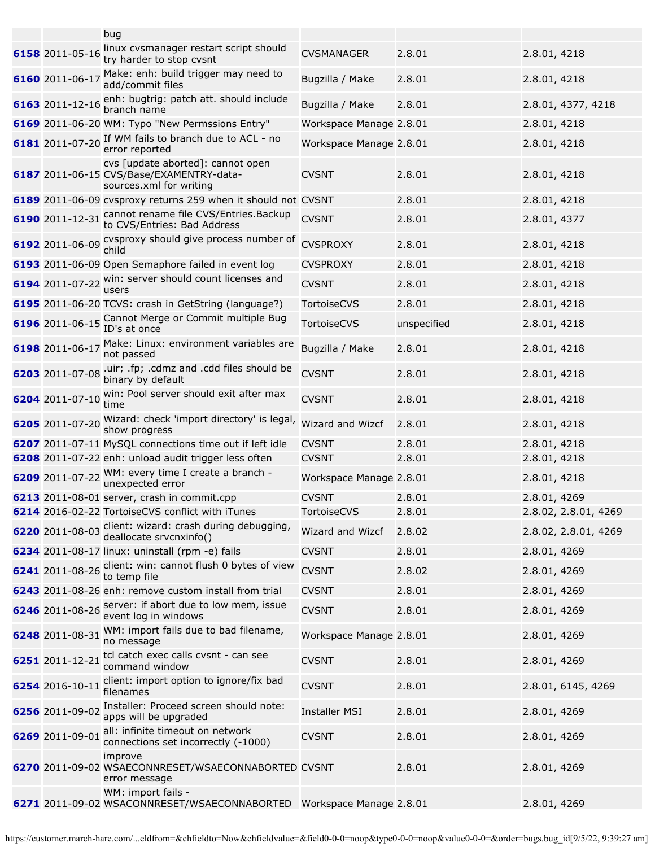|                 | bug                                                                                                      |                         |             |                      |
|-----------------|----------------------------------------------------------------------------------------------------------|-------------------------|-------------|----------------------|
| 6158 2011-05-16 | linux cvsmanager restart script should<br>try harder to stop cvsnt                                       | <b>CVSMANAGER</b>       | 2.8.01      | 2.8.01, 4218         |
| 6160 2011-06-17 | Make: enh: build trigger may need to<br>add/commit files                                                 | Bugzilla / Make         | 2.8.01      | 2.8.01, 4218         |
| 6163 2011-12-16 | enh: bugtrig: patch att. should include<br>branch name                                                   | Bugzilla / Make         | 2.8.01      | 2.8.01, 4377, 4218   |
|                 | 6169 2011-06-20 WM: Typo "New Permssions Entry"                                                          | Workspace Manage 2.8.01 |             | 2.8.01, 4218         |
| 6181 2011-07-20 | If WM fails to branch due to ACL - no<br>error reported                                                  | Workspace Manage 2.8.01 |             | 2.8.01, 4218         |
|                 | cvs [update aborted]: cannot open<br>6187 2011-06-15 CVS/Base/EXAMENTRY-data-<br>sources.xml for writing | <b>CVSNT</b>            | 2.8.01      | 2.8.01, 4218         |
|                 | 6189 2011-06-09 cvsproxy returns 259 when it should not CVSNT                                            |                         | 2.8.01      | 2.8.01, 4218         |
| 6190 2011-12-31 | cannot rename file CVS/Entries. Backup<br>to CVS/Entries: Bad Address                                    | <b>CVSNT</b>            | 2.8.01      | 2.8.01, 4377         |
|                 | 6192 2011-06-09 CVSproxy should give process number of<br>child                                          | <b>CVSPROXY</b>         | 2.8.01      | 2.8.01, 4218         |
|                 | 6193 2011-06-09 Open Semaphore failed in event log                                                       | <b>CVSPROXY</b>         | 2.8.01      | 2.8.01, 4218         |
| 6194 2011-07-22 | win: server should count licenses and<br>users                                                           | <b>CVSNT</b>            | 2.8.01      | 2.8.01, 4218         |
|                 | 6195 2011-06-20 TCVS: crash in GetString (language?)                                                     | TortoiseCVS             | 2.8.01      | 2.8.01, 4218         |
|                 | 6196 2011-06-15 Cannot Merge or Commit multiple Bug<br>ID's at once                                      | TortoiseCVS             | unspecified | 2.8.01, 4218         |
| 6198 2011-06-17 | Make: Linux: environment variables are<br>not passed                                                     | Bugzilla / Make         | 2.8.01      | 2.8.01, 4218         |
| 6203 2011-07-08 | .uir; .fp; .cdmz and .cdd files should be<br>binary by default                                           | <b>CVSNT</b>            | 2.8.01      | 2.8.01, 4218         |
| 6204 2011-07-10 | win: Pool server should exit after max<br>time                                                           | <b>CVSNT</b>            | 2.8.01      | 2.8.01, 4218         |
| 6205 2011-07-20 | Wizard: check 'import directory' is legal,<br>show progress                                              | Wizard and Wizcf        | 2.8.01      | 2.8.01, 4218         |
|                 | 6207 2011-07-11 MySQL connections time out if left idle                                                  | <b>CVSNT</b>            | 2.8.01      | 2.8.01, 4218         |
|                 | 6208 2011-07-22 enh: unload audit trigger less often                                                     | <b>CVSNT</b>            | 2.8.01      | 2.8.01, 4218         |
| 6209 2011-07-22 | WM: every time I create a branch -<br>unexpected error                                                   | Workspace Manage 2.8.01 |             | 2.8.01, 4218         |
|                 | 6213 2011-08-01 server, crash in commit.cpp                                                              | <b>CVSNT</b>            | 2.8.01      | 2.8.01, 4269         |
|                 | 6214 2016-02-22 TortoiseCVS conflict with iTunes                                                         | TortoiseCVS             | 2.8.01      | 2.8.02, 2.8.01, 4269 |
|                 | 6220 2011-08-03 client: wizard: crash during debugging,<br>deallocate srvcnxinfo()                       | Wizard and Wizcf        | 2.8.02      | 2.8.02, 2.8.01, 4269 |
|                 | 6234 2011-08-17 linux: uninstall (rpm -e) fails                                                          | <b>CVSNT</b>            | 2.8.01      | 2.8.01, 4269         |
| 6241 2011-08-26 | client: win: cannot flush 0 bytes of view<br>to temp file                                                | <b>CVSNT</b>            | 2.8.02      | 2.8.01, 4269         |
|                 | 6243 2011-08-26 enh: remove custom install from trial                                                    | <b>CVSNT</b>            | 2.8.01      | 2.8.01, 4269         |
| 6246 2011-08-26 | server: if abort due to low mem, issue<br>event log in windows                                           | <b>CVSNT</b>            | 2.8.01      | 2.8.01, 4269         |
| 6248 2011-08-31 | WM: import fails due to bad filename,<br>no message                                                      | Workspace Manage 2.8.01 |             | 2.8.01, 4269         |
| 6251 2011-12-21 | tcl catch exec calls cvsnt - can see<br>command window                                                   | <b>CVSNT</b>            | 2.8.01      | 2.8.01, 4269         |
| 6254 2016-10-11 | client: import option to ignore/fix bad<br>filenames                                                     | <b>CVSNT</b>            | 2.8.01      | 2.8.01, 6145, 4269   |
| 6256 2011-09-02 | Installer: Proceed screen should note:<br>apps will be upgraded                                          | <b>Installer MSI</b>    | 2.8.01      | 2.8.01, 4269         |
| 6269 2011-09-01 | all: infinite timeout on network<br>connections set incorrectly (-1000)                                  | <b>CVSNT</b>            | 2.8.01      | 2.8.01, 4269         |
|                 | improve<br>6270 2011-09-02 WSAECONNRESET/WSAECONNABORTED CVSNT<br>error message                          |                         | 2.8.01      | 2.8.01, 4269         |
|                 | WM: import fails -<br>6271 2011-09-02 WSACONNRESET/WSAECONNABORTED Workspace Manage 2.8.01               |                         |             | 2.8.01, 4269         |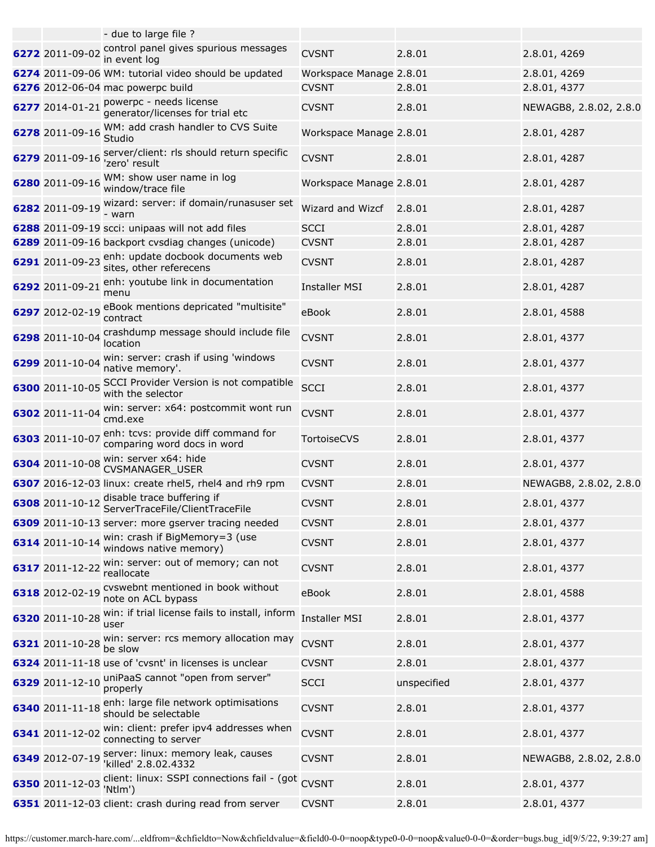|                 | - due to large file ?                                                         |                         |             |                        |
|-----------------|-------------------------------------------------------------------------------|-------------------------|-------------|------------------------|
| 6272 2011-09-02 | control panel gives spurious messages<br>in event log                         | <b>CVSNT</b>            | 2.8.01      | 2.8.01, 4269           |
|                 | 6274 2011-09-06 WM: tutorial video should be updated                          | Workspace Manage 2.8.01 |             | 2.8.01, 4269           |
|                 | 6276 2012-06-04 mac powerpc build                                             | <b>CVSNT</b>            | 2.8.01      | 2.8.01, 4377           |
|                 | 6277 2014-01-21 powerpc - needs license<br>generator/licenses for trial etc   | <b>CVSNT</b>            | 2.8.01      | NEWAGB8, 2.8.02, 2.8.0 |
| 6278 2011-09-16 | WM: add crash handler to CVS Suite<br>Studio                                  | Workspace Manage 2.8.01 |             | 2.8.01, 4287           |
| 6279 2011-09-16 | server/client: rls should return specific<br>'zero' result                    | <b>CVSNT</b>            | 2.8.01      | 2.8.01, 4287           |
| 6280 2011-09-16 | WM: show user name in log<br>window/trace file                                | Workspace Manage 2.8.01 |             | 2.8.01, 4287           |
| 6282 2011-09-19 | wizard: server: if domain/runasuser set<br>- warn                             | Wizard and Wizcf        | 2.8.01      | 2.8.01, 4287           |
|                 | 6288 2011-09-19 scci: unipaas will not add files                              | <b>SCCI</b>             | 2.8.01      | 2.8.01, 4287           |
|                 | 6289 2011-09-16 backport cvsdiag changes (unicode)                            | <b>CVSNT</b>            | 2.8.01      | 2.8.01, 4287           |
|                 | 6291 2011-09-23 enh: update docbook documents web<br>sites, other referecens  | <b>CVSNT</b>            | 2.8.01      | 2.8.01, 4287           |
| 6292 2011-09-21 | enh: youtube link in documentation<br>menu                                    | <b>Installer MSI</b>    | 2.8.01      | 2.8.01, 4287           |
| 6297 2012-02-19 | eBook mentions depricated "multisite"<br>contract                             | eBook                   | 2.8.01      | 2.8.01, 4588           |
| 6298 2011-10-04 | crashdump message should include file<br>location                             | <b>CVSNT</b>            | 2.8.01      | 2.8.01, 4377           |
| 6299 2011-10-04 | win: server: crash if using 'windows<br>native memory'.                       | <b>CVSNT</b>            | 2.8.01      | 2.8.01, 4377           |
| 6300 2011-10-05 | SCCI Provider Version is not compatible<br>with the selector                  | <b>SCCI</b>             | 2.8.01      | 2.8.01, 4377           |
| 6302 2011-11-04 | win: server: x64: postcommit wont run<br>cmd.exe                              | <b>CVSNT</b>            | 2.8.01      | 2.8.01, 4377           |
| 6303 2011-10-07 | enh: tcvs: provide diff command for<br>comparing word docs in word            | <b>TortoiseCVS</b>      | 2.8.01      | 2.8.01, 4377           |
| 6304 2011-10-08 | win: server x64: hide<br>CVSMANAGER_USER                                      | <b>CVSNT</b>            | 2.8.01      | 2.8.01, 4377           |
|                 | 6307 2016-12-03 linux: create rhel5, rhel4 and rh9 rpm                        | <b>CVSNT</b>            | 2.8.01      | NEWAGB8, 2.8.02, 2.8.0 |
|                 | 6308 2011-10-12 disable trace buffering if<br>ServerTraceFile/ClientTraceFile | <b>CVSNT</b>            | 2.8.01      | 2.8.01, 4377           |
|                 | 6309 2011-10-13 server: more gserver tracing needed                           | <b>CVSNT</b>            | 2.8.01      | 2.8.01, 4377           |
| 6314 2011-10-14 | win: crash if BigMemory=3 (use<br>windows native memory)                      | <b>CVSNT</b>            | 2.8.01      | 2.8.01, 4377           |
| 6317 2011-12-22 | win: server: out of memory; can not<br>reallocate                             | <b>CVSNT</b>            | 2.8.01      | 2.8.01, 4377           |
| 6318 2012-02-19 | cvswebnt mentioned in book without<br>note on ACL bypass                      | eBook                   | 2.8.01      | 2.8.01, 4588           |
| 6320 2011-10-28 | win: if trial license fails to install, inform<br>user                        | <b>Installer MSI</b>    | 2.8.01      | 2.8.01, 4377           |
| 6321 2011-10-28 | win: server: rcs memory allocation may<br>be slow                             | <b>CVSNT</b>            | 2.8.01      | 2.8.01, 4377           |
|                 | 6324 2011-11-18 use of 'cvsnt' in licenses is unclear                         | <b>CVSNT</b>            | 2.8.01      | 2.8.01, 4377           |
| 6329 2011-12-10 | uniPaaS cannot "open from server"<br>properly                                 | <b>SCCI</b>             | unspecified | 2.8.01, 4377           |
| 6340 2011-11-18 | enh: large file network optimisations<br>should be selectable                 | <b>CVSNT</b>            | 2.8.01      | 2.8.01, 4377           |
| 6341 2011-12-02 | win: client: prefer ipv4 addresses when<br>connecting to server               | <b>CVSNT</b>            | 2.8.01      | 2.8.01, 4377           |
| 6349 2012-07-19 | server: linux: memory leak, causes<br>'killed' 2.8.02.4332                    | <b>CVSNT</b>            | 2.8.01      | NEWAGB8, 2.8.02, 2.8.0 |
| 6350 2011-12-03 | client: linux: SSPI connections fail - (got<br>'Ntlm')                        | <b>CVSNT</b>            | 2.8.01      | 2.8.01, 4377           |
|                 | 6351 2011-12-03 client: crash during read from server                         | <b>CVSNT</b>            | 2.8.01      | 2.8.01, 4377           |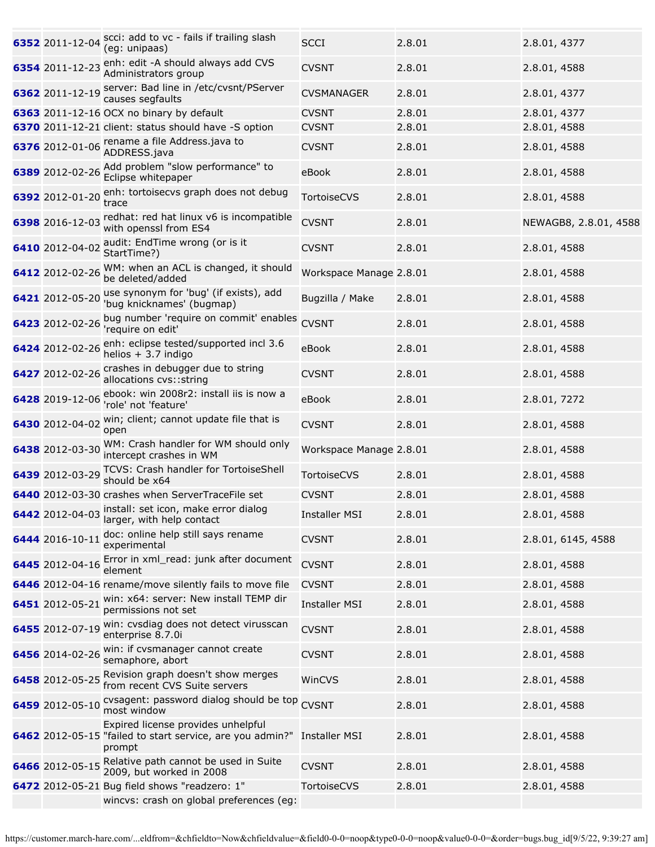| 6352 2011-12-04 | scci: add to vc - fails if trailing slash<br>(eg: unipaas)                                                | <b>SCCI</b>             | 2.8.01 | 2.8.01, 4377          |
|-----------------|-----------------------------------------------------------------------------------------------------------|-------------------------|--------|-----------------------|
| 6354 2011-12-23 | enh: edit -A should always add CVS<br>Administrators group                                                | <b>CVSNT</b>            | 2.8.01 | 2.8.01, 4588          |
| 6362 2011-12-19 | server: Bad line in /etc/cvsnt/PServer<br>causes segfaults                                                | <b>CVSMANAGER</b>       | 2.8.01 | 2.8.01, 4377          |
|                 | 6363 2011-12-16 OCX no binary by default                                                                  | <b>CVSNT</b>            | 2.8.01 | 2.8.01, 4377          |
|                 | 6370 2011-12-21 client: status should have -S option                                                      | <b>CVSNT</b>            | 2.8.01 | 2.8.01, 4588          |
|                 | 6376 2012-01-06 rename a file Address java to<br>ADDRESS.java                                             | <b>CVSNT</b>            | 2.8.01 | 2.8.01, 4588          |
| 6389 2012-02-26 | Add problem "slow performance" to<br>Eclipse whitepaper                                                   | eBook                   | 2.8.01 | 2.8.01, 4588          |
| 6392 2012-01-20 | enh: tortoisecvs graph does not debug<br>trace                                                            | <b>TortoiseCVS</b>      | 2.8.01 | 2.8.01, 4588          |
| 6398 2016-12-03 | redhat: red hat linux v6 is incompatible<br>with openssl from ES4                                         | <b>CVSNT</b>            | 2.8.01 | NEWAGB8, 2.8.01, 4588 |
| 6410 2012-04-02 | audit: EndTime wrong (or is it<br>StartTime?)                                                             | <b>CVSNT</b>            | 2.8.01 | 2.8.01, 4588          |
| 6412 2012-02-26 | WM: when an ACL is changed, it should<br>be deleted/added                                                 | Workspace Manage 2.8.01 |        | 2.8.01, 4588          |
| 6421 2012-05-20 | use synonym for 'bug' (if exists), add<br>'bug knicknames' (bugmap)                                       | Bugzilla / Make         | 2.8.01 | 2.8.01, 4588          |
| 6423 2012-02-26 | bug number 'require on commit' enables<br>'require on edit'                                               | <b>CVSNT</b>            | 2.8.01 | 2.8.01, 4588          |
| 6424 2012-02-26 | enh: eclipse tested/supported incl 3.6<br>helios $+3.7$ indigo                                            | eBook                   | 2.8.01 | 2.8.01, 4588          |
| 6427 2012-02-26 | crashes in debugger due to string<br>allocations cvs:: string                                             | <b>CVSNT</b>            | 2.8.01 | 2.8.01, 4588          |
| 6428 2019-12-06 | ebook: win 2008r2: install iis is now a<br>'role' not 'feature'                                           | eBook                   | 2.8.01 | 2.8.01, 7272          |
| 6430 2012-04-02 | win; client; cannot update file that is<br>open                                                           | <b>CVSNT</b>            | 2.8.01 | 2.8.01, 4588          |
| 6438 2012-03-30 | WM: Crash handler for WM should only<br>intercept crashes in WM                                           | Workspace Manage 2.8.01 |        | 2.8.01, 4588          |
| 6439 2012-03-29 | TCVS: Crash handler for TortoiseShell<br>should be x64                                                    | TortoiseCVS             | 2.8.01 | 2.8.01, 4588          |
|                 | 6440 2012-03-30 crashes when ServerTraceFile set                                                          | <b>CVSNT</b>            | 2.8.01 | 2.8.01, 4588          |
| 6442 2012-04-03 | install: set icon, make error dialog<br>larger, with help contact                                         | <b>Installer MSI</b>    | 2.8.01 | 2.8.01, 4588          |
| 6444 2016-10-11 | doc: online help still says rename<br>experimental                                                        | <b>CVSNT</b>            | 2.8.01 | 2.8.01, 6145, 4588    |
| 6445 2012-04-16 | Error in xml_read: junk after document<br>element                                                         | <b>CVSNT</b>            | 2.8.01 | 2.8.01, 4588          |
|                 | 6446 2012-04-16 rename/move silently fails to move file                                                   | <b>CVSNT</b>            | 2.8.01 | 2.8.01, 4588          |
| 6451 2012-05-21 | win: x64: server: New install TEMP dir<br>permissions not set                                             | <b>Installer MSI</b>    | 2.8.01 | 2.8.01, 4588          |
| 6455 2012-07-19 | win: cvsdiag does not detect virusscan<br>enterprise 8.7.0i                                               | <b>CVSNT</b>            | 2.8.01 | 2.8.01, 4588          |
| 6456 2014-02-26 | win: if cvsmanager cannot create<br>semaphore, abort                                                      | <b>CVSNT</b>            | 2.8.01 | 2.8.01, 4588          |
| 6458 2012-05-25 | Revision graph doesn't show merges<br>from recent CVS Suite servers                                       | WinCVS                  | 2.8.01 | 2.8.01, 4588          |
| 6459 2012-05-10 | cvsagent: password dialog should be top CVSNT<br>most window                                              |                         | 2.8.01 | 2.8.01, 4588          |
|                 | Expired license provides unhelpful<br>6462 2012-05-15 "failed to start service, are you admin?"<br>prompt | <b>Installer MSI</b>    | 2.8.01 | 2.8.01, 4588          |
| 6466 2012-05-15 | Relative path cannot be used in Suite<br>2009, but worked in 2008                                         | <b>CVSNT</b>            | 2.8.01 | 2.8.01, 4588          |
|                 | 6472 2012-05-21 Bug field shows "readzero: 1"<br>wincvs: crash on global preferences (eg:                 | TortoiseCVS             | 2.8.01 | 2.8.01, 4588          |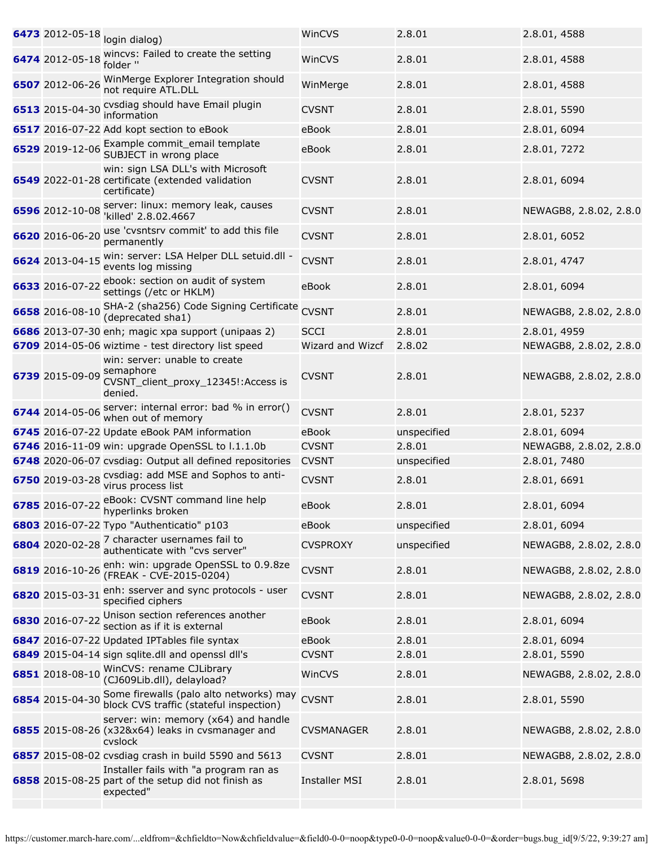| 6473 2012-05-18 | login dialog)                                                                                              | WinCVS               | 2.8.01      | 2.8.01, 4588           |
|-----------------|------------------------------------------------------------------------------------------------------------|----------------------|-------------|------------------------|
| 6474 2012-05-18 | wincvs: Failed to create the setting<br>folder "                                                           | WinCVS               | 2.8.01      | 2.8.01, 4588           |
| 6507 2012-06-26 | WinMerge Explorer Integration should<br>not require ATL.DLL                                                | WinMerge             | 2.8.01      | 2.8.01, 4588           |
| 6513 2015-04-30 | cvsdiag should have Email plugin<br>information                                                            | <b>CVSNT</b>         | 2.8.01      | 2.8.01, 5590           |
|                 | 6517 2016-07-22 Add kopt section to eBook                                                                  | eBook                | 2.8.01      | 2.8.01, 6094           |
| 6529 2019-12-06 | Example commit_email template<br>SUBJECT in wrong place                                                    | eBook                | 2.8.01      | 2.8.01, 7272           |
|                 | win: sign LSA DLL's with Microsoft<br>6549 2022-01-28 certificate (extended validation<br>certificate)     | <b>CVSNT</b>         | 2.8.01      | 2.8.01, 6094           |
| 6596 2012-10-08 | server: linux: memory leak, causes<br>'killed' 2.8.02.4667                                                 | <b>CVSNT</b>         | 2.8.01      | NEWAGB8, 2.8.02, 2.8.0 |
| 6620 2016-06-20 | use 'cvsntsrv commit' to add this file<br>permanently                                                      | <b>CVSNT</b>         | 2.8.01      | 2.8.01, 6052           |
| 6624 2013-04-15 | win: server: LSA Helper DLL setuid.dll -<br>events log missing                                             | <b>CVSNT</b>         | 2.8.01      | 2.8.01, 4747           |
| 6633 2016-07-22 | ebook: section on audit of system<br>settings (/etc or HKLM)                                               | eBook                | 2.8.01      | 2.8.01, 6094           |
| 6658 2016-08-10 | SHA-2 (sha256) Code Signing Certificate<br>(deprecated sha1)                                               | <b>CVSNT</b>         | 2.8.01      | NEWAGB8, 2.8.02, 2.8.0 |
|                 | 6686 2013-07-30 enh; magic xpa support (unipaas 2)                                                         | <b>SCCI</b>          | 2.8.01      | 2.8.01, 4959           |
|                 | 6709 2014-05-06 wiztime - test directory list speed                                                        | Wizard and Wizcf     | 2.8.02      | NEWAGB8, 2.8.02, 2.8.0 |
| 6739 2015-09-09 | win: server: unable to create<br>semaphore<br>CVSNT_client_proxy_12345!:Access is<br>denied.               | <b>CVSNT</b>         | 2.8.01      | NEWAGB8, 2.8.02, 2.8.0 |
| 6744 2014-05-06 | server: internal error: bad % in error()<br>when out of memory                                             | <b>CVSNT</b>         | 2.8.01      | 2.8.01, 5237           |
|                 | 6745 2016-07-22 Update eBook PAM information                                                               | eBook                | unspecified | 2.8.01, 6094           |
|                 | 6746 2016-11-09 win: upgrade OpenSSL to l.1.1.0b                                                           | <b>CVSNT</b>         | 2.8.01      | NEWAGB8, 2.8.02, 2.8.0 |
|                 | 6748 2020-06-07 cvsdiag: Output all defined repositories                                                   | <b>CVSNT</b>         | unspecified | 2.8.01, 7480           |
| 6750 2019-03-28 | cvsdiag: add MSE and Sophos to anti-<br>virus process list                                                 | <b>CVSNT</b>         | 2.8.01      | 2.8.01, 6691           |
|                 | 6785 2016-07-22 eBook: CVSNT command line help<br>hyperlinks broken                                        | eBook                | 2.8.01      | 2.8.01, 6094           |
|                 | 6803 2016-07-22 Typo "Authenticatio" p103                                                                  | eBook                | unspecified | 2.8.01, 6094           |
|                 | 6804 2020-02-28 7 character usernames fail to<br>authenticate with "cvs server"                            | <b>CVSPROXY</b>      | unspecified | NEWAGB8, 2.8.02, 2.8.0 |
| 6819 2016-10-26 | enh: win: upgrade OpenSSL to 0.9.8ze<br>(FREAK - CVE-2015-0204)                                            | <b>CVSNT</b>         | 2.8.01      | NEWAGB8, 2.8.02, 2.8.0 |
| 6820 2015-03-31 | enh: sserver and sync protocols - user<br>specified ciphers                                                | <b>CVSNT</b>         | 2.8.01      | NEWAGB8, 2.8.02, 2.8.0 |
| 6830 2016-07-22 | Unison section references another<br>section as if it is external                                          | eBook                | 2.8.01      | 2.8.01, 6094           |
|                 | 6847 2016-07-22 Updated IPTables file syntax                                                               | eBook                | 2.8.01      | 2.8.01, 6094           |
|                 | 6849 2015-04-14 sign sqlite.dll and openssl dll's                                                          | <b>CVSNT</b>         | 2.8.01      | 2.8.01, 5590           |
|                 | 6851 2018-08-10 WinCVS: rename CJLibrary<br>(CJ609Lib.dll), delayload?                                     | WinCVS               | 2.8.01      | NEWAGB8, 2.8.02, 2.8.0 |
| 6854 2015-04-30 | Some firewalls (palo alto networks) may<br>block CVS traffic (stateful inspection)                         | <b>CVSNT</b>         | 2.8.01      | 2.8.01, 5590           |
|                 | server: win: memory (x64) and handle<br>6855 2015-08-26 (x32&x64) leaks in cvsmanager and<br>cvslock       | <b>CVSMANAGER</b>    | 2.8.01      | NEWAGB8, 2.8.02, 2.8.0 |
|                 | 6857 2015-08-02 cvsdiag crash in build 5590 and 5613                                                       | <b>CVSNT</b>         | 2.8.01      | NEWAGB8, 2.8.02, 2.8.0 |
|                 | Installer fails with "a program ran as<br>6858 2015-08-25 part of the setup did not finish as<br>expected" | <b>Installer MSI</b> | 2.8.01      | 2.8.01, 5698           |
|                 |                                                                                                            |                      |             |                        |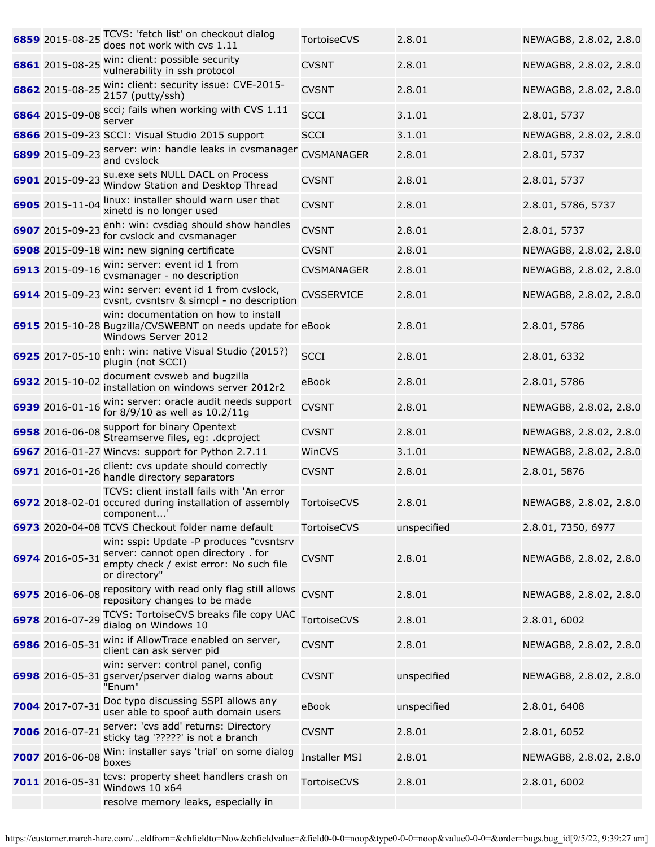|                 | 6859 2015-08-25 ICVS: 'fetch list' on checkout dialog<br>does not work with cvs 1.11                                                       | <b>TortoiseCVS</b>   | 2.8.01      | NEWAGB8, 2.8.02, 2.8.0 |
|-----------------|--------------------------------------------------------------------------------------------------------------------------------------------|----------------------|-------------|------------------------|
| 6861 2015-08-25 | win: client: possible security<br>vulnerability in ssh protocol                                                                            | <b>CVSNT</b>         | 2.8.01      | NEWAGB8, 2.8.02, 2.8.0 |
| 6862 2015-08-25 | win: client: security issue: CVE-2015-<br>2157 (putty/ssh)                                                                                 | <b>CVSNT</b>         | 2.8.01      | NEWAGB8, 2.8.02, 2.8.0 |
| 6864 2015-09-08 | scci; fails when working with CVS 1.11<br>server                                                                                           | <b>SCCI</b>          | 3.1.01      | 2.8.01, 5737           |
|                 | 6866 2015-09-23 SCCI: Visual Studio 2015 support                                                                                           | <b>SCCI</b>          | 3.1.01      | NEWAGB8, 2.8.02, 2.8.0 |
| 6899 2015-09-23 | server: win: handle leaks in cvsmanager<br>and cvslock                                                                                     | <b>CVSMANAGER</b>    | 2.8.01      | 2.8.01, 5737           |
| 6901 2015-09-23 | su.exe sets NULL DACL on Process<br>Window Station and Desktop Thread                                                                      | <b>CVSNT</b>         | 2.8.01      | 2.8.01, 5737           |
| 6905 2015-11-04 | linux: installer should warn user that<br>xinetd is no longer used                                                                         | <b>CVSNT</b>         | 2.8.01      | 2.8.01, 5786, 5737     |
| 6907 2015-09-23 | enh: win: cvsdiag should show handles<br>for cvslock and cvsmanager                                                                        | <b>CVSNT</b>         | 2.8.01      | 2.8.01, 5737           |
|                 | 6908 2015-09-18 win: new signing certificate                                                                                               | <b>CVSNT</b>         | 2.8.01      | NEWAGB8, 2.8.02, 2.8.0 |
| 6913 2015-09-16 | win: server: event id 1 from<br>cvsmanager - no description                                                                                | <b>CVSMANAGER</b>    | 2.8.01      | NEWAGB8, 2.8.02, 2.8.0 |
| 6914 2015-09-23 | win: server: event id 1 from cvslock,<br>cvsnt, cvsntsrv & simcpl - no description                                                         | <b>CVSSERVICE</b>    | 2.8.01      | NEWAGB8, 2.8.02, 2.8.0 |
|                 | win: documentation on how to install<br>6915 2015-10-28 Bugzilla/CVSWEBNT on needs update for eBook<br>Windows Server 2012                 |                      | 2.8.01      | 2.8.01, 5786           |
| 6925 2017-05-10 | enh: win: native Visual Studio (2015?)<br>plugin (not SCCI)                                                                                | <b>SCCI</b>          | 2.8.01      | 2.8.01, 6332           |
| 6932 2015-10-02 | document cvsweb and bugzilla<br>installation on windows server 2012r2                                                                      | eBook                | 2.8.01      | 2.8.01, 5786           |
| 6939 2016-01-16 | win: server: oracle audit needs support<br>for 8/9/10 as well as 10.2/11g                                                                  | <b>CVSNT</b>         | 2.8.01      | NEWAGB8, 2.8.02, 2.8.0 |
|                 | 6958 2016-06-08 Support for binary Opentext<br>Streamserve files, eg: .dcproject                                                           | <b>CVSNT</b>         | 2.8.01      | NEWAGB8, 2.8.02, 2.8.0 |
|                 | 6967 2016-01-27 Wincvs: support for Python 2.7.11                                                                                          | WinCVS               | 3.1.01      | NEWAGB8, 2.8.02, 2.8.0 |
|                 | 6971 2016-01-26 client: cvs update should correctly<br>handle directory separators                                                         | <b>CVSNT</b>         | 2.8.01      | 2.8.01, 5876           |
|                 | TCVS: client install fails with 'An error<br>6972 2018-02-01 occured during installation of assembly<br>component'                         | TortoiseCVS          | 2.8.01      | NEWAGB8, 2.8.02, 2.8.0 |
|                 | 6973 2020-04-08 TCVS Checkout folder name default                                                                                          | <b>TortoiseCVS</b>   | unspecified | 2.8.01, 7350, 6977     |
| 6974 2016-05-31 | win: sspi: Update -P produces "cvsntsrv<br>server: cannot open directory . for<br>empty check / exist error: No such file<br>or directory" | <b>CVSNT</b>         | 2.8.01      | NEWAGB8, 2.8.02, 2.8.0 |
| 6975 2016-06-08 | repository with read only flag still allows<br>repository changes to be made                                                               | <b>CVSNT</b>         | 2.8.01      | NEWAGB8, 2.8.02, 2.8.0 |
| 6978 2016-07-29 | TCVS: TortoiseCVS breaks file copy UAC<br>dialog on Windows 10                                                                             | TortoiseCVS          | 2.8.01      | 2.8.01, 6002           |
| 6986 2016-05-31 | win: if AllowTrace enabled on server,<br>client can ask server pid                                                                         | <b>CVSNT</b>         | 2.8.01      | NEWAGB8, 2.8.02, 2.8.0 |
|                 | win: server: control panel, config<br>6998 2016-05-31 gserver/pserver dialog warns about<br>"Enum"                                         | <b>CVSNT</b>         | unspecified | NEWAGB8, 2.8.02, 2.8.0 |
| 7004 2017-07-31 | Doc typo discussing SSPI allows any<br>user able to spoof auth domain users                                                                | eBook                | unspecified | 2.8.01, 6408           |
| 7006 2016-07-21 | server: 'cvs add' returns: Directory<br>sticky tag '?????' is not a branch                                                                 | <b>CVSNT</b>         | 2.8.01      | 2.8.01, 6052           |
| 7007 2016-06-08 | Win: installer says 'trial' on some dialog<br>boxes                                                                                        | <b>Installer MSI</b> | 2.8.01      | NEWAGB8, 2.8.02, 2.8.0 |
| 7011 2016-05-31 | tcvs: property sheet handlers crash on<br>Windows 10 x64                                                                                   | <b>TortoiseCVS</b>   | 2.8.01      | 2.8.01, 6002           |
|                 | resolve memory leaks, especially in                                                                                                        |                      |             |                        |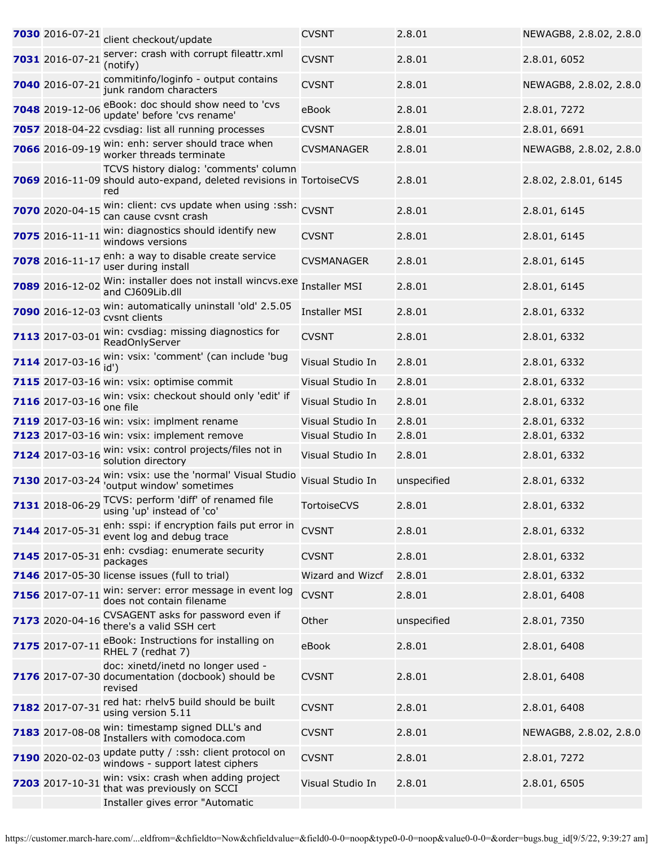| 7030 2016-07-21 | client checkout/update                                                                                                | <b>CVSNT</b>         | 2.8.01      | NEWAGB8, 2.8.02, 2.8.0 |
|-----------------|-----------------------------------------------------------------------------------------------------------------------|----------------------|-------------|------------------------|
| 7031 2016-07-21 | server: crash with corrupt fileattr.xml<br>(notify)                                                                   | <b>CVSNT</b>         | 2.8.01      | 2.8.01, 6052           |
| 7040 2016-07-21 | commitinfo/loginfo - output contains<br>junk random characters                                                        | <b>CVSNT</b>         | 2.8.01      | NEWAGB8, 2.8.02, 2.8.0 |
| 7048 2019-12-06 | eBook: doc should show need to 'cvs<br>update' before 'cvs rename'                                                    | eBook                | 2.8.01      | 2.8.01, 7272           |
|                 | 7057 2018-04-22 cvsdiag: list all running processes                                                                   | <b>CVSNT</b>         | 2.8.01      | 2.8.01, 6691           |
| 7066 2016-09-19 | win: enh: server should trace when<br>worker threads terminate                                                        | <b>CVSMANAGER</b>    | 2.8.01      | NEWAGB8, 2.8.02, 2.8.0 |
|                 | TCVS history dialog: 'comments' column<br>7069 2016-11-09 should auto-expand, deleted revisions in TortoiseCVS<br>red |                      | 2.8.01      | 2.8.02, 2.8.01, 6145   |
| 7070 2020-04-15 | win: client: cvs update when using :ssh: CVSNT<br>can cause cvsnt crash                                               |                      | 2.8.01      | 2.8.01, 6145           |
| 7075 2016-11-1: | win: diagnostics should identify new<br>windows versions                                                              | <b>CVSNT</b>         | 2.8.01      | 2.8.01, 6145           |
| 7078 2016-11-17 | enh: a way to disable create service<br>user during install                                                           | <b>CVSMANAGER</b>    | 2.8.01      | 2.8.01, 6145           |
| 7089 2016-12-02 | Win: installer does not install wincvs.exe<br>and CJ609Lib.dll                                                        | <b>Installer MSI</b> | 2.8.01      | 2.8.01, 6145           |
| 7090 2016-12-03 | win: automatically uninstall 'old' 2.5.05<br>cvsnt clients                                                            | <b>Installer MSI</b> | 2.8.01      | 2.8.01, 6332           |
| 7113 2017-03-01 | win: cvsdiag: missing diagnostics for<br>ReadOnlyServer                                                               | <b>CVSNT</b>         | 2.8.01      | 2.8.01, 6332           |
| 7114 2017-03-16 | win: vsix: 'comment' (can include 'bug<br>id')                                                                        | Visual Studio In     | 2.8.01      | 2.8.01, 6332           |
|                 | 7115 2017-03-16 win: vsix: optimise commit                                                                            | Visual Studio In     | 2.8.01      | 2.8.01, 6332           |
| 7116 2017-03-16 | win: vsix: checkout should only 'edit' if<br>one file                                                                 | Visual Studio In     | 2.8.01      | 2.8.01, 6332           |
|                 | <b>7119</b> 2017-03-16 win: vsix: implment rename                                                                     | Visual Studio In     | 2.8.01      | 2.8.01, 6332           |
|                 | 7123 2017-03-16 win: vsix: implement remove                                                                           | Visual Studio In     | 2.8.01      | 2.8.01, 6332           |
| 7124 2017-03-16 | win: vsix: control projects/files not in<br>solution directory                                                        | Visual Studio In     | 2.8.01      | 2.8.01, 6332           |
| 7130 2017-03-24 | win: vsix: use the 'normal' Visual Studio<br>'output window' sometimes                                                | Visual Studio In     | unspecified | 2.8.01, 6332           |
|                 | 7131 2018-06-29 TCVS: perform 'diff' of renamed file<br>using 'up' instead of 'co'                                    | TortoiseCVS          | 2.8.01      | 2.8.01, 6332           |
| 7144 2017-05-31 | enh: sspi: if encryption fails put error in<br>event log and debug trace                                              | <b>CVSNT</b>         | 2.8.01      | 2.8.01, 6332           |
| 7145 2017-05-31 | enh: cvsdiag: enumerate security<br>packages                                                                          | <b>CVSNT</b>         | 2.8.01      | 2.8.01, 6332           |
|                 | 7146 2017-05-30 license issues (full to trial)                                                                        | Wizard and Wizcf     | 2.8.01      | 2.8.01, 6332           |
| 7156 2017-07-11 | win: server: error message in event log<br>does not contain filename                                                  | <b>CVSNT</b>         | 2.8.01      | 2.8.01, 6408           |
| 7173 2020-04-16 | CVSAGENT asks for password even if<br>there's a valid SSH cert                                                        | Other                | unspecified | 2.8.01, 7350           |
| 7175 2017-07-11 | eBook: Instructions for installing on<br>RHEL 7 (redhat 7)                                                            | eBook                | 2.8.01      | 2.8.01, 6408           |
|                 | doc: xinetd/inetd no longer used -<br>7176 2017-07-30 documentation (docbook) should be<br>revised                    | <b>CVSNT</b>         | 2.8.01      | 2.8.01, 6408           |
| 7182 2017-07-31 | red hat: rhelv5 build should be built<br>using version 5.11                                                           | <b>CVSNT</b>         | 2.8.01      | 2.8.01, 6408           |
| 7183 2017-08-08 | win: timestamp signed DLL's and<br>Installers with comodoca.com                                                       | <b>CVSNT</b>         | 2.8.01      | NEWAGB8, 2.8.02, 2.8.0 |
| 7190 2020-02-03 | update putty / :ssh: client protocol on<br>windows - support latest ciphers                                           | <b>CVSNT</b>         | 2.8.01      | 2.8.01, 7272           |
| 7203 2017-10-31 | win: vsix: crash when adding project<br>that was previously on SCCI                                                   | Visual Studio In     | 2.8.01      | 2.8.01, 6505           |
|                 | Installer gives error "Automatic                                                                                      |                      |             |                        |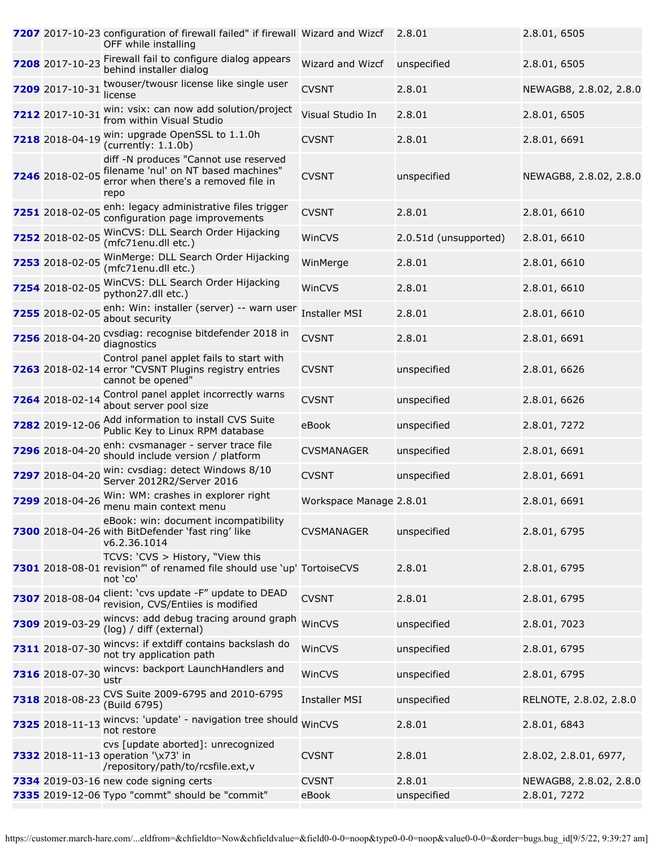|                 | 7207 2017-10-23 configuration of firewall failed" if firewall Wizard and Wizcf<br>OFF while installing                        |                         | 2.8.01                | 2.8.01, 6505           |
|-----------------|-------------------------------------------------------------------------------------------------------------------------------|-------------------------|-----------------------|------------------------|
| 7208 2017-10-23 | Firewall fail to configure dialog appears<br>behind installer dialog                                                          | Wizard and Wizcf        | unspecified           | 2.8.01, 6505           |
| 7209 2017-10-31 | twouser/twousr license like single user<br>license                                                                            | <b>CVSNT</b>            | 2.8.01                | NEWAGB8, 2.8.02, 2.8.0 |
| 7212 2017-10-31 | win: vsix: can now add solution/project<br>from within Visual Studio                                                          | Visual Studio In        | 2.8.01                | 2.8.01, 6505           |
| 7218 2018-04-19 | win: upgrade OpenSSL to 1.1.0h<br>(currently: 1.1.0b)                                                                         | <b>CVSNT</b>            | 2.8.01                | 2.8.01, 6691           |
| 7246 2018-02-05 | diff -N produces "Cannot use reserved<br>filename 'nul' on NT based machines"<br>error when there's a removed file in<br>repo | <b>CVSNT</b>            | unspecified           | NEWAGB8, 2.8.02, 2.8.0 |
|                 | 7251 2018-02-05 enh: legacy administrative files trigger<br>configuration page improvements                                   | <b>CVSNT</b>            | 2.8.01                | 2.8.01, 6610           |
| 7252 2018-02-05 | WinCVS: DLL Search Order Hijacking<br>(mfc71enu.dll etc.)                                                                     | WinCVS                  | 2.0.51d (unsupported) | 2.8.01, 6610           |
| 7253 2018-02-05 | WinMerge: DLL Search Order Hijacking<br>(mfc71enu.dll etc.)                                                                   | WinMerge                | 2.8.01                | 2.8.01, 6610           |
| 7254 2018-02-05 | WinCVS: DLL Search Order Hijacking<br>python27.dll etc.)                                                                      | WinCVS                  | 2.8.01                | 2.8.01, 6610           |
| 7255 2018-02-05 | enh: Win: installer (server) -- warn user<br>about security                                                                   | <b>Installer MSI</b>    | 2.8.01                | 2.8.01, 6610           |
| 7256 2018-04-20 | cvsdiag: recognise bitdefender 2018 in<br>diagnostics                                                                         | <b>CVSNT</b>            | 2.8.01                | 2.8.01, 6691           |
|                 | Control panel applet fails to start with<br>7263 2018-02-14 error "CVSNT Plugins registry entries<br>cannot be opened"        | <b>CVSNT</b>            | unspecified           | 2.8.01, 6626           |
| 7264 2018-02-14 | Control panel applet incorrectly warns<br>about server pool size                                                              | <b>CVSNT</b>            | unspecified           | 2.8.01, 6626           |
| 7282 2019-12-06 | Add information to install CVS Suite<br>Public Key to Linux RPM database                                                      | eBook                   | unspecified           | 2.8.01, 7272           |
| 7296 2018-04-20 | enh: cvsmanager - server trace file<br>should include version / platform                                                      | <b>CVSMANAGER</b>       | unspecified           | 2.8.01, 6691           |
| 7297 2018-04-20 | win: cvsdiag: detect Windows 8/10<br>Server 2012R2/Server 2016                                                                | <b>CVSNT</b>            | unspecified           | 2.8.01, 6691           |
| 7299 2018-04-26 | Win: WM: crashes in explorer right<br>menu main context menu                                                                  | Workspace Manage 2.8.01 |                       | 2.8.01, 6691           |
|                 | eBook: win: document incompatibility<br>7300 2018-04-26 with BitDefender 'fast ring' like<br>v6.2.36.1014                     | <b>CVSMANAGER</b>       | unspecified           | 2.8.01, 6795           |
|                 | TCVS: 'CVS > History, "View this<br>7301 2018-08-01 revision" of renamed file should use 'up' TortoiseCVS<br>not 'co'         |                         | 2.8.01                | 2.8.01, 6795           |
| 7307 2018-08-04 | client: 'cvs update -F" update to DEAD<br>revision, CVS/Entiies is modified                                                   | <b>CVSNT</b>            | 2.8.01                | 2.8.01, 6795           |
| 7309 2019-03-29 | wincvs: add debug tracing around graph<br>(log) / diff (external)                                                             | WinCVS                  | unspecified           | 2.8.01, 7023           |
| 7311 2018-07-30 | wincvs: if extdiff contains backslash do<br>not try application path                                                          | WinCVS                  | unspecified           | 2.8.01, 6795           |
|                 | 7316 2018-07-30 Wincvs: backport LaunchHandlers and<br>ustr                                                                   | WinCVS                  | unspecified           | 2.8.01, 6795           |
| 7318 2018-08-23 | CVS Suite 2009-6795 and 2010-6795<br>(Build 6795)                                                                             | <b>Installer MSI</b>    | unspecified           | RELNOTE, 2.8.02, 2.8.0 |
| 7325 2018-11-13 | wincvs: 'update' - navigation tree should<br>not restore                                                                      | WinCVS                  | 2.8.01                | 2.8.01, 6843           |
|                 | cvs [update aborted]: unrecognized<br>7332 2018-11-13 operation '\x73' in<br>/repository/path/to/rcsfile.ext,v                | <b>CVSNT</b>            | 2.8.01                | 2.8.02, 2.8.01, 6977,  |
|                 | 7334 2019-03-16 new code signing certs                                                                                        | <b>CVSNT</b>            | 2.8.01                | NEWAGB8, 2.8.02, 2.8.0 |
|                 | 7335 2019-12-06 Typo "commt" should be "commit"                                                                               | eBook                   | unspecified           | 2.8.01, 7272           |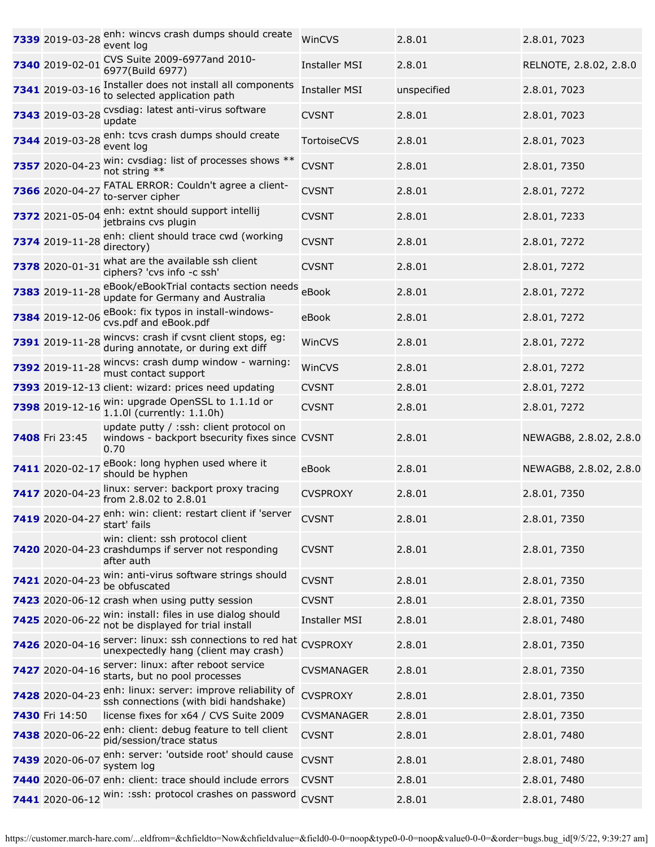| 7339 2019-03-28 | enh: wincvs crash dumps should create<br>event log                                                    | WinCVS               | 2.8.01      | 2.8.01, 7023           |
|-----------------|-------------------------------------------------------------------------------------------------------|----------------------|-------------|------------------------|
| 7340 2019-02-01 | CVS Suite 2009-6977and 2010-<br>6977(Build 6977)                                                      | <b>Installer MSI</b> | 2.8.01      | RELNOTE, 2.8.02, 2.8.0 |
| 7341 2019-03-16 | Installer does not install all components<br>to selected application path                             | <b>Installer MSI</b> | unspecified | 2.8.01, 7023           |
| 7343 2019-03-28 | cvsdiag: latest anti-virus software<br>update                                                         | <b>CVSNT</b>         | 2.8.01      | 2.8.01, 7023           |
| 7344 2019-03-28 | enh: tcvs crash dumps should create<br>event log                                                      | <b>TortoiseCVS</b>   | 2.8.01      | 2.8.01, 7023           |
| 7357 2020-04-23 | win: cvsdiag: list of processes shows **<br>not string **                                             | <b>CVSNT</b>         | 2.8.01      | 2.8.01, 7350           |
| 7366 2020-04-27 | FATAL ERROR: Couldn't agree a client-<br>to-server cipher                                             | <b>CVSNT</b>         | 2.8.01      | 2.8.01, 7272           |
| 7372 2021-05-04 | enh: extnt should support intellij<br>jetbrains cvs plugin                                            | <b>CVSNT</b>         | 2.8.01      | 2.8.01, 7233           |
| 7374 2019-11-28 | enh: client should trace cwd (working<br>directory)                                                   | <b>CVSNT</b>         | 2.8.01      | 2.8.01, 7272           |
| 7378 2020-01-31 | what are the available ssh client<br>ciphers? 'cvs info -c ssh'                                       | <b>CVSNT</b>         | 2.8.01      | 2.8.01, 7272           |
| 7383 2019-11-28 | eBook/eBookTrial contacts section needs<br>update for Germany and Australia                           | eBook                | 2.8.01      | 2.8.01, 7272           |
| 7384 2019-12-06 | eBook: fix typos in install-windows-<br>cvs.pdf and eBook.pdf                                         | eBook                | 2.8.01      | 2.8.01, 7272           |
| 7391 2019-11-28 | wincvs: crash if cvsnt client stops, eg:<br>during annotate, or during ext diff                       | WinCVS               | 2.8.01      | 2.8.01, 7272           |
| 7392 2019-11-28 | wincvs: crash dump window - warning:<br>must contact support                                          | WinCVS               | 2.8.01      | 2.8.01, 7272           |
|                 | 7393 2019-12-13 client: wizard: prices need updating                                                  | <b>CVSNT</b>         | 2.8.01      | 2.8.01, 7272           |
| 7398 2019-12-16 | win: upgrade OpenSSL to 1.1.1d or<br>1.1.0l (currently: 1.1.0h)                                       | <b>CVSNT</b>         | 2.8.01      | 2.8.01, 7272           |
| 7408 Fri 23:45  | update putty / :ssh: client protocol on<br>windows - backport bsecurity fixes since CVSNT<br>0.70     |                      | 2.8.01      | NEWAGB8, 2.8.02, 2.8.0 |
| 7411 2020-02-17 | eBook: long hyphen used where it<br>should be hyphen                                                  | eBook                | 2.8.01      | NEWAGB8, 2.8.02, 2.8.0 |
| 7417 2020-04-23 | linux: server: backport proxy tracing<br>from 2.8.02 to 2.8.01                                        | <b>CVSPROXY</b>      | 2.8.01      | 2.8.01, 7350           |
| 7419 2020-04-27 | enh: win: client: restart client if 'server<br>start' fails                                           | <b>CVSNT</b>         | 2.8.01      | 2.8.01, 7350           |
|                 | win: client: ssh protocol client<br>7420 2020-04-23 crashdumps if server not responding<br>after auth | <b>CVSNT</b>         | 2.8.01      | 2.8.01, 7350           |
| 7421 2020-04-23 | win: anti-virus software strings should<br>be obfuscated                                              | <b>CVSNT</b>         | 2.8.01      | 2.8.01, 7350           |
|                 | 7423 2020-06-12 crash when using putty session                                                        | <b>CVSNT</b>         | 2.8.01      | 2.8.01, 7350           |
| 7425 2020-06-22 | win: install: files in use dialog should<br>not be displayed for trial install                        | <b>Installer MSI</b> | 2.8.01      | 2.8.01, 7480           |
| 7426 2020-04-16 | server: linux: ssh connections to red hat<br>unexpectedly hang (client may crash)                     | <b>CVSPROXY</b>      | 2.8.01      | 2.8.01, 7350           |
| 7427 2020-04-16 | server: linux: after reboot service<br>starts, but no pool processes                                  | <b>CVSMANAGER</b>    | 2.8.01      | 2.8.01, 7350           |
| 7428 2020-04-23 | enh: linux: server: improve reliability of<br>ssh connections (with bidi handshake)                   | <b>CVSPROXY</b>      | 2.8.01      | 2.8.01, 7350           |
| 7430 Fri 14:50  | license fixes for x64 / CVS Suite 2009                                                                | <b>CVSMANAGER</b>    | 2.8.01      | 2.8.01, 7350           |
| 7438 2020-06-22 | enh: client: debug feature to tell client<br>pid/session/trace status                                 | <b>CVSNT</b>         | 2.8.01      | 2.8.01, 7480           |
| 7439 2020-06-07 | enh: server: 'outside root' should cause<br>system log                                                | <b>CVSNT</b>         | 2.8.01      | 2.8.01, 7480           |
|                 | 7440 2020-06-07 enh: client: trace should include errors                                              | <b>CVSNT</b>         | 2.8.01      | 2.8.01, 7480           |
|                 | 7441 2020-06-12 win: :ssh: protocol crashes on password                                               | <b>CVSNT</b>         | 2.8.01      | 2.8.01, 7480           |